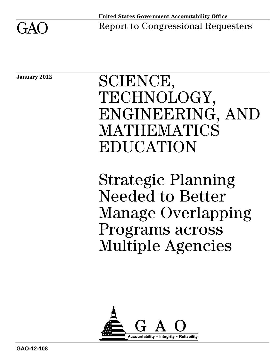

Report to Congressional Requesters

**January 2012**

# SCIENCE, TECHNOLOGY, ENGINEERING, AND MATHEMATICS EDUCATION

Strategic Planning Needed to Better Manage Overlapping Programs across Multiple Agencies

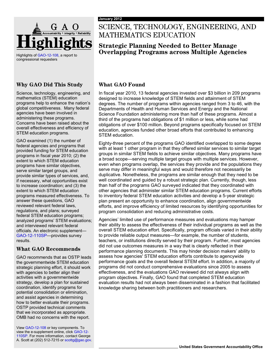

Highlights o[f GAO-12-108,](http://www.gao.gov/products/GAO-12-108) a report to congressional requesters

#### **Why GAO Did This Study**

Science, technology, engineering, and mathematics (STEM) education programs help to enhance the nation's global competitiveness. Many federal agencies have been involved in administering these programs. Concerns have been raised about the overall effectiveness and efficiency of STEM education programs.

GAO examined (1) the number of federal agencies and programs that provided funding for STEM education programs in fiscal year 2010; (2) the extent to which STEM education programs have similar objectives, serve similar target groups, and provide similar types of services, and, if necessary, what opportunities exist to increase coordination; and (3) the extent to which STEM education programs measured effectiveness. To answer these questions, GAO reviewed relevant federal laws, regulations, and plans; surveyed federal STEM education programs; analyzed programs' STEM evaluations; and interviewed relevant federal officials. An electronic supplement— [GAO-12-110SP](http://www.gao.gov/products/GAO-12-110SP)—provides survey results.

#### **What GAO Recommends**

GAO recommends that as OSTP leads the governmentwide STEM education strategic planning effort, it should work with agencies to better align their activities with a governmentwide strategy, develop a plan for sustained coordination, identify programs for potential consolidation or elimination, and assist agencies in determining how to better evaluate their programs. OSTP provided technical comments that we incorporated as appropriate. OMB had no concerns with the report.

Vie[w GAO-12-108](http://www.gao.gov/products/GAO-12-108) or key components. To view the e-supplement online, click [GAO-12-](http://www.gao.gov/products/GAO-12-110SP) [110SP.](http://www.gao.gov/products/GAO-12-110SP) For more information, contact George A. Scott at (202) 512-7215 or scottg@gao.gov.

### SCIENCE, TECHNOLOGY, ENGINEERING, AND MATHEMATICS EDUCATION

#### **Strategic Planning Needed to Better Manage Overlapping Programs across Multiple Agencies**

#### **What GAO Found**

In fiscal year 2010, 13 federal agencies invested over \$3 billion in 209 programs designed to increase knowledge of STEM fields and attainment of STEM degrees. The number of programs within agencies ranged from 3 to 46, with the Departments of Health and Human Services and Energy and the National Science Foundation administering more than half of these programs. Almost a third of the programs had obligations of \$1 million or less, while some had obligations of over \$100 million. Beyond programs specifically focused on STEM education, agencies funded other broad efforts that contributed to enhancing STEM education.

Eighty-three percent of the programs GAO identified overlapped to some degree with at least 1 other program in that they offered similar services to similar target groups in similar STEM fields to achieve similar objectives. Many programs have a broad scope—serving multiple target groups with multiple services. However, even when programs overlap, the services they provide and the populations they serve may differ in meaningful ways and would therefore not necessarily be duplicative. Nonetheless, the programs are similar enough that they need to be well coordinated and guided by a robust strategic plan. Currently, though, less than half of the programs GAO surveyed indicated that they coordinated with other agencies that administer similar STEM education programs. Current efforts to inventory federal STEM education activities and develop a 5-year strategic plan present an opportunity to enhance coordination, align governmentwide efforts, and improve efficiency of limited resources by identifying opportunities for program consolidation and reducing administrative costs.

Agencies' limited use of performance measures and evaluations may hamper their ability to assess the effectiveness of their individual programs as well as the overall STEM education effort. Specifically, program officials varied in their ability to provide reliable output measures—for example, the number of students, teachers, or institutions directly served by their program. Further, most agencies did not use outcomes measures in a way that is clearly reflected in their performance planning documents. This may hinder decision makers' ability to assess how agencies' STEM education efforts contribute to agencywide performance goals and the overall federal STEM effort. In addition, a majority of programs did not conduct comprehensive evaluations since 2005 to assess effectiveness, and the evaluations GAO reviewed did not always align with program objectives. Finally, GAO found that completed STEM education evaluation results had not always been disseminated in a fashion that facilitated knowledge sharing between both practitioners and researchers.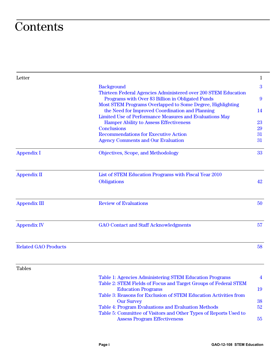## **Contents**

| Letter                      |                                                                                                                     | 1              |
|-----------------------------|---------------------------------------------------------------------------------------------------------------------|----------------|
|                             | <b>Background</b>                                                                                                   | $\overline{3}$ |
|                             | Thirteen Federal Agencies Administered over 200 STEM Education<br>Programs with Over \$3 Billion in Obligated Funds | 9              |
|                             | Most STEM Programs Overlapped to Some Degree, Highlighting<br>the Need for Improved Coordination and Planning       | 14             |
|                             | Limited Use of Performance Measures and Evaluations May                                                             |                |
|                             | <b>Hamper Ability to Assess Effectiveness</b>                                                                       | 23             |
|                             | <b>Conclusions</b>                                                                                                  | 29             |
|                             | <b>Recommendations for Executive Action</b>                                                                         | 31             |
|                             | <b>Agency Comments and Our Evaluation</b>                                                                           | 31             |
| <b>Appendix I</b>           | Objectives, Scope, and Methodology                                                                                  | 33             |
| <b>Appendix II</b>          | List of STEM Education Programs with Fiscal Year 2010                                                               |                |
|                             | Obligations                                                                                                         | 42             |
| <b>Appendix III</b>         | <b>Review of Evaluations</b>                                                                                        | 50             |
| <b>Appendix IV</b>          | <b>GAO</b> Contact and Staff Acknowledgments                                                                        | 57             |
| <b>Related GAO Products</b> |                                                                                                                     | 58             |
| <b>Tables</b>               |                                                                                                                     |                |
|                             | Table 1: Agencies Administering STEM Education Programs                                                             | 4              |
|                             | Table 2: STEM Fields of Focus and Target Groups of Federal STEM                                                     |                |
|                             | <b>Education Programs</b><br>Table 3: Reasons for Exclusion of STEM Education Activities from                       | 19             |
|                             | <b>Our Survey</b>                                                                                                   | 38             |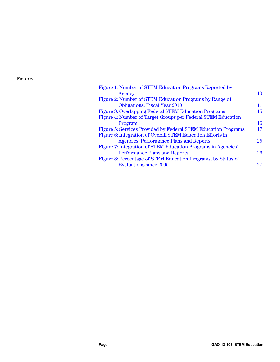#### Figures

| 10 |
|----|
|    |
| 11 |
| 15 |
|    |
| 16 |
| 17 |
|    |
| 25 |
|    |
| 26 |
|    |
| 27 |
|    |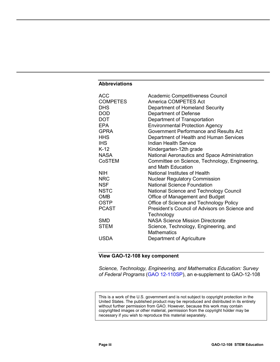#### **Abbreviations**

| <b>ACC</b><br><b>COMPETES</b><br><b>DHS</b><br><b>DOD</b><br><b>DOT</b><br>EPA<br><b>GPRA</b><br><b>HHS</b><br>IHS.<br>$K-12$<br><b>NASA</b><br><b>CoSTEM</b> | <b>Academic Competitiveness Council</b><br>America COMPETES Act<br>Department of Homeland Security<br>Department of Defense<br>Department of Transportation<br><b>Environmental Protection Agency</b><br>Government Performance and Results Act<br>Department of Health and Human Services<br>Indian Health Service<br>Kindergarten-12th grade<br>National Aeronautics and Space Administration<br>Committee on Science, Technology, Engineering,<br>and Math Education |
|---------------------------------------------------------------------------------------------------------------------------------------------------------------|-------------------------------------------------------------------------------------------------------------------------------------------------------------------------------------------------------------------------------------------------------------------------------------------------------------------------------------------------------------------------------------------------------------------------------------------------------------------------|
| <b>NIH</b>                                                                                                                                                    | National Institutes of Health                                                                                                                                                                                                                                                                                                                                                                                                                                           |
| <b>NRC</b>                                                                                                                                                    | <b>Nuclear Regulatory Commission</b>                                                                                                                                                                                                                                                                                                                                                                                                                                    |
| <b>NSF</b>                                                                                                                                                    | <b>National Science Foundation</b>                                                                                                                                                                                                                                                                                                                                                                                                                                      |
| <b>NSTC</b>                                                                                                                                                   | National Science and Technology Council                                                                                                                                                                                                                                                                                                                                                                                                                                 |
| <b>OMB</b>                                                                                                                                                    | Office of Management and Budget                                                                                                                                                                                                                                                                                                                                                                                                                                         |
| <b>OSTP</b>                                                                                                                                                   | Office of Science and Technology Policy                                                                                                                                                                                                                                                                                                                                                                                                                                 |
| <b>PCAST</b>                                                                                                                                                  | President's Council of Advisors on Science and<br>Technology                                                                                                                                                                                                                                                                                                                                                                                                            |
| <b>SMD</b>                                                                                                                                                    | <b>NASA Science Mission Directorate</b>                                                                                                                                                                                                                                                                                                                                                                                                                                 |
| <b>STEM</b>                                                                                                                                                   | Science, Technology, Engineering, and<br><b>Mathematics</b>                                                                                                                                                                                                                                                                                                                                                                                                             |
| <b>USDA</b>                                                                                                                                                   | Department of Agriculture                                                                                                                                                                                                                                                                                                                                                                                                                                               |

#### **View GAO-12-108 key component**

*Science, Technology, Engineering, and Mathematics Education: Survey of Federal Programs* [\(GAO 12-110SP](http://www.gao.gov/products/GAO-12-110SP)), an e-supplement to GAO-12-108

This is a work of the U.S. government and is not subject to copyright protection in the United States. The published product may be reproduced and distributed in its entirety without further permission from GAO. However, because this work may contain copyrighted images or other material, permission from the copyright holder may be necessary if you wish to reproduce this material separately.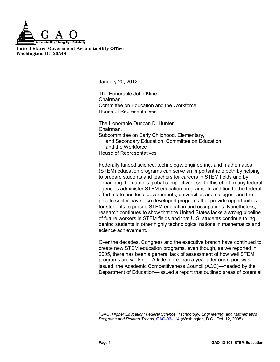

**United States Government Accountability Office Washington, DC 20548**

January 20, 2012

The Honorable John Kline Chairman, Committee on Education and the Workforce House of Representatives

The Honorable Duncan D. Hunter Chairman, Subcommittee on Early Childhood, Elementary, and Secondary Education, Committee on Education and the Workforce House of Representatives

Federally funded science, technology, engineering, and mathematics (STEM) education programs can serve an important role both by helping to prepare students and teachers for careers in STEM fields and by enhancing the nation's global competitiveness. In this effort, many federal agencies administer STEM education programs. In addition to the federal effort, state and local governments, universities and colleges, and the private sector have also developed programs that provide opportunities for students to pursue STEM education and occupations. Nonetheless, research continues to show that the United States lacks a strong pipeline of future workers in STEM fields and that U.S. students continue to lag behind students in other highly technological nations in mathematics and science achievement.

Over the decades, Congress and the executive branch have continued to create new STEM education programs, even though, as we reported in 2005, there has been a general lack of assessment of how well STEM programs are working.<sup>[1](#page-5-0)</sup> A little more than a year after our report was issued, the Academic Competitiveness Council (ACC)—headed by the Department of Education—issued a report that outlined areas of potential

<span id="page-5-0"></span> 1 GAO, *Higher Education: Federal Science, Technology, Engineering, and Mathematics Programs and Related Trends*, [GAO-06-114](http://www.gao.gov/products/GAO-06-114) (Washington, D.C.: Oct. 12, 2005).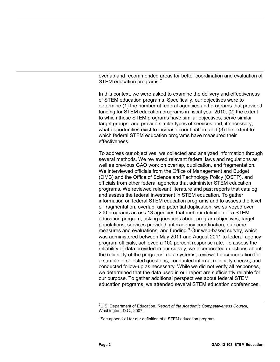overlap and recommended areas for better coordination and evaluation of STEM education programs.<sup>[2](#page-6-0)</sup>

In this context, we were asked to examine the delivery and effectiveness of STEM education programs. Specifically, our objectives were to determine (1) the number of federal agencies and programs that provided funding for STEM education programs in fiscal year 2010; (2) the extent to which these STEM programs have similar objectives, serve similar target groups, and provide similar types of services and, if necessary, what opportunities exist to increase coordination; and (3) the extent to which federal STEM education programs have measured their effectiveness.

To address our objectives, we collected and analyzed information through several methods. We reviewed relevant federal laws and regulations as well as previous GAO work on overlap, duplication, and fragmentation. We interviewed officials from the Office of Management and Budget (OMB) and the Office of Science and Technology Policy (OSTP), and officials from other federal agencies that administer STEM education programs. We reviewed relevant literature and past reports that catalog and assess the federal investment in STEM education. To gather information on federal STEM education programs and to assess the level of fragmentation, overlap, and potential duplication, we surveyed over 200 programs across 13 agencies that met our definition of a STEM education program, asking questions about program objectives, target populations, services provided, interagency coordination, outcome measures and evaluations, and funding.<sup>[3](#page-6-1)</sup> Our web-based survey, which was administered between May 2011 and August 2011 to federal agency program officials, achieved a 100 percent response rate. To assess the reliability of data provided in our survey, we incorporated questions about the reliability of the programs' data systems, reviewed documentation for a sample of selected questions, conducted internal reliability checks, and conducted follow-up as necessary. While we did not verify all responses, we determined that the data used in our report are sufficiently reliable for our purpose. To gather additional perspectives about federal STEM education programs, we attended several STEM education conferences.

<span id="page-6-0"></span> 2 U.S. Department of Education, *Report of the Academic Competitiveness Council*, Washington, D.C., 2007.

<span id="page-6-1"></span> ${}^{3}$ See appendix I for our definition of a STEM education program.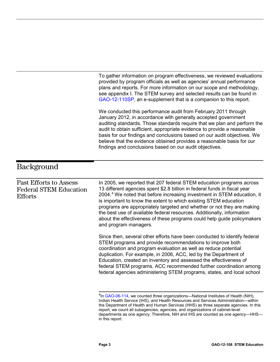<span id="page-7-0"></span>

|                                                                                  | To gather information on program effectiveness, we reviewed evaluations<br>provided by program officials as well as agencies' annual performance<br>plans and reports. For more information on our scope and methodology,<br>see appendix I. The STEM survey and selected results can be found in<br>GAO-12-110SP, an e-supplement that is a companion to this report.<br>We conducted this performance audit from February 2011 through<br>January 2012, in accordance with generally accepted government<br>auditing standards. Those standards require that we plan and perform the<br>audit to obtain sufficient, appropriate evidence to provide a reasonable |
|----------------------------------------------------------------------------------|--------------------------------------------------------------------------------------------------------------------------------------------------------------------------------------------------------------------------------------------------------------------------------------------------------------------------------------------------------------------------------------------------------------------------------------------------------------------------------------------------------------------------------------------------------------------------------------------------------------------------------------------------------------------|
|                                                                                  | basis for our findings and conclusions based on our audit objectives. We<br>believe that the evidence obtained provides a reasonable basis for our<br>findings and conclusions based on our audit objectives.                                                                                                                                                                                                                                                                                                                                                                                                                                                      |
| <b>Background</b>                                                                |                                                                                                                                                                                                                                                                                                                                                                                                                                                                                                                                                                                                                                                                    |
| <b>Past Efforts to Assess</b><br><b>Federal STEM Education</b><br><b>Efforts</b> | In 2005, we reported that 207 federal STEM education programs across<br>13 different agencies spent \$2.8 billion in federal funds in fiscal year<br>2004. <sup>4</sup> We noted that before increasing investment in STEM education, it<br>is important to know the extent to which existing STEM education<br>programs are appropriately targeted and whether or not they are making<br>the best use of available federal resources. Additionally, information<br>about the effectiveness of these programs could help guide policymakers<br>and program managers.                                                                                               |
|                                                                                  | Since then, several other efforts have been conducted to identify federal<br>STEM programs and provide recommendations to improve both<br>coordination and program evaluation as well as reduce potential<br>duplication. For example, in 2006, ACC, led by the Department of<br>Education, created an inventory and assessed the effectiveness of<br>federal STEM programs. ACC recommended further coordination among<br>federal agencies administering STEM programs, states, and local school                                                                                                                                                                  |
|                                                                                  | <sup>4</sup> In GAO-06-114, we counted three organizations-National Institutes of Health (NIH),<br>Indian Health Service (IHS), and Health Resources and Services Administration-within<br>the Department of Health and Human Services (HHS) as three separate agencies. In this                                                                                                                                                                                                                                                                                                                                                                                   |

<span id="page-7-1"></span>report, we count all subagencies, agencies, and organizations of cabinet-level departments as one agency. Therefore, NIH and IHS are counted as one agency—HHS in this report.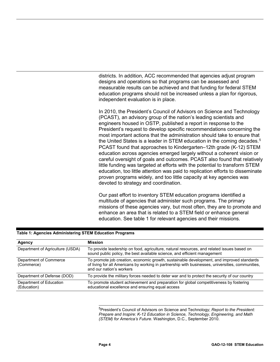districts. In addition, ACC recommended that agencies adjust program designs and operations so that programs can be assessed and measurable results can be achieved and that funding for federal STEM education programs should not be increased unless a plan for rigorous, independent evaluation is in place.

In 2010, the President's Council of Advisors on Science and Technology (PCAST), an advisory group of the nation's leading scientists and engineers housed in OSTP, published a report in response to the President's request to develop specific recommendations concerning the most important actions that the administration should take to ensure that the United States is a leader in STEM education in the coming decades.<sup>[5](#page-8-1)</sup> PCAST found that approaches to Kindergarten–12th grade (K-12) STEM education across agencies emerged largely without a coherent vision or careful oversight of goals and outcomes. PCAST also found that relatively little funding was targeted at efforts with the potential to transform STEM education, too little attention was paid to replication efforts to disseminate proven programs widely, and too little capacity at key agencies was devoted to strategy and coordination.

Our past effort to inventory STEM education programs identified a multitude of agencies that administer such programs. The primary missions of these agencies vary, but most often, they are to promote and enhance an area that is related to a STEM field or enhance general education. See table 1 for relevant agencies and their missions.

<span id="page-8-1"></span>

| Agency                                 | <b>Mission</b>                                                                                                                                                                                                             |
|----------------------------------------|----------------------------------------------------------------------------------------------------------------------------------------------------------------------------------------------------------------------------|
| Department of Agriculture (USDA)       | To provide leadership on food, agriculture, natural resources, and related issues based on<br>sound public policy, the best available science, and efficient management                                                    |
| Department of Commerce<br>(Commerce)   | To promote job creation, economic growth, sustainable development, and improved standards<br>of living for all Americans by working in partnership with businesses, universities, communities,<br>and our nation's workers |
| Department of Defense (DOD)            | To provide the military forces needed to deter war and to protect the security of our country                                                                                                                              |
| Department of Education<br>(Education) | To promote student achievement and preparation for global competitiveness by fostering<br>educational excellence and ensuring equal access                                                                                 |

#### <span id="page-8-0"></span>**Table 1: Agencies Administering STEM Education Programs**

 5 President's Council of Advisors on Science and Technology; *Report to the President: Prepare and Inspire: K-12 Education in Science, Technology, Engineering, and Math (STEM) for America's Future*. Washington, D.C., September 2010.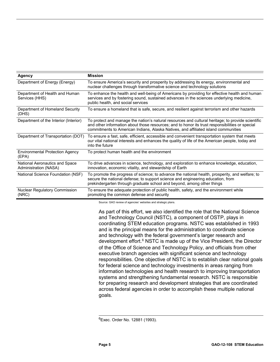| <b>Agency</b>                                           | <b>Mission</b>                                                                                                                                                                                                                                                                             |
|---------------------------------------------------------|--------------------------------------------------------------------------------------------------------------------------------------------------------------------------------------------------------------------------------------------------------------------------------------------|
| Department of Energy (Energy)                           | To ensure America's security and prosperity by addressing its energy, environmental and<br>nuclear challenges through transformative science and technology solutions                                                                                                                      |
| Department of Health and Human<br>Services (HHS)        | To enhance the health and well-being of Americans by providing for effective health and human<br>services and by fostering sound, sustained advances in the sciences underlying medicine,<br>public health, and social services                                                            |
| Department of Homeland Security<br>(DHS)                | To ensure a homeland that is safe, secure, and resilient against terrorism and other hazards                                                                                                                                                                                               |
| Department of the Interior (Interior)                   | To protect and manage the nation's natural resources and cultural heritage; to provide scientific<br>and other information about those resources; and to honor its trust responsibilities or special<br>commitments to American Indians, Alaska Natives, and affiliated island communities |
| Department of Transportation (DOT)                      | To ensure a fast, safe, efficient, accessible and convenient transportation system that meets<br>our vital national interests and enhances the quality of life of the American people, today and<br>into the future                                                                        |
| <b>Environmental Protection Agency</b><br>(EPA)         | To protect human health and the environment                                                                                                                                                                                                                                                |
| National Aeronautics and Space<br>Administration (NASA) | To drive advances in science, technology, and exploration to enhance knowledge, education,<br>innovation, economic vitality, and stewardship of Earth                                                                                                                                      |
| National Science Foundation (NSF)                       | To promote the progress of science; to advance the national health, prosperity, and welfare; to<br>secure the national defense; to support science and engineering education, from<br>prekindergarten through graduate school and beyond, among other things                               |
| <b>Nuclear Regulatory Commission</b><br>(NRC)           | To ensure the adequate protection of public health, safety, and the environment while<br>promoting the common defense and security                                                                                                                                                         |

Source: GAO review of agencies' websites and strategic plans.

As part of this effort, we also identified the role that the National Science and Technology Council (NSTC), a component of OSTP, plays in coordinating STEM education programs. NSTC was established in 1993 and is the principal means for the administration to coordinate science and technology with the federal government's larger research and development effort.<sup>[6](#page-9-0)</sup> NSTC is made up of the Vice President, the Director of the Office of Science and Technology Policy, and officials from other executive branch agencies with significant science and technology responsibilities. One objective of NSTC is to establish clear national goals for federal science and technology investments in areas ranging from information technologies and health research to improving transportation systems and strengthening fundamental research. NSTC is responsible for preparing research and development strategies that are coordinated across federal agencies in order to accomplish these multiple national goals.

<span id="page-9-0"></span><sup>&</sup>lt;u>。</u><br><sup>6</sup>Exec. Order No. 12881 (1993).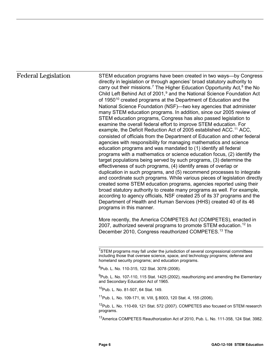#### Federal Legislation

STEM education programs have been created in two ways—by Congress directly in legislation or through agencies' broad statutory authority to carry out their missions.<sup>[7](#page-10-0)</sup> The Higher Education Opportunity Act,<sup>[8](#page-10-1)</sup> the No Child Left Behind Act of 2001,<sup>[9](#page-10-2)</sup> and the National Science Foundation Act of 1950<sup>[10](#page-10-3)</sup> created programs at the Department of Education and the National Science Foundation (NSF)—two key agencies that administer many STEM education programs. In addition, since our 2005 review of STEM education programs, Congress has also passed legislation to examine the overall federal effort to improve STEM education. For example, the Deficit Reduction Act of 2005 established ACC.<sup>[11](#page-10-4)</sup> ACC, consisted of officials from the Department of Education and other federal agencies with responsibility for managing mathematics and science education programs and was mandated to (1) identify all federal programs with a mathematics or science education focus, (2) identify the target populations being served by such programs, (3) determine the effectiveness of such programs, (4) identify areas of overlap or duplication in such programs, and (5) recommend processes to integrate and coordinate such programs. While various pieces of legislation directly created some STEM education programs, agencies reported using their broad statutory authority to create many programs as well. For example, according to agency officials, NSF created 25 of its 37 programs and the Department of Health and Human Services (HHS) created 40 of its 46 programs in this manner.

More recently, the America COMPETES Act (COMPETES), enacted in 2007, authorized several programs to promote STEM education. [12](#page-10-5) In December 2010, Congress reauthorized COMPETES.<sup>[13](#page-10-6)</sup> The

<span id="page-10-5"></span><span id="page-10-4"></span>11Pub. L. No. 109-171, tit. VIII, § 8003, 120 Stat. 4, 155 (2006).

<span id="page-10-0"></span> 7 STEM programs may fall under the jurisdiction of several congressional committees including those that oversee science, space, and technology programs; defense and homeland security programs; and education programs.

<span id="page-10-2"></span><span id="page-10-1"></span><sup>8</sup> Pub. L. No. 110-315, 122 Stat. 3078 (2008).

<sup>&</sup>lt;sup>9</sup>Pub. L. No. 107-110, 115 Stat. 1425 (2002), reauthorizing and amending the Elementary and Secondary Education Act of 1965.

<span id="page-10-3"></span><sup>10</sup>Pub. L. No. 81-507, 64 Stat. 149.

<sup>&</sup>lt;sup>12</sup>Pub. L. No. 110-69, 121 Stat. 572 (2007). COMPETES also focused on STEM research programs.

<span id="page-10-6"></span><sup>&</sup>lt;sup>13</sup> America COMPETES Reauthorization Act of 2010, Pub. L. No. 111-358, 124 Stat. 3982.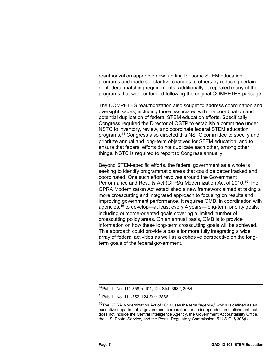reauthorization approved new funding for some STEM education programs and made substantive changes to others by reducing certain nonfederal matching requirements. Additionally, it repealed many of the programs that went unfunded following the original COMPETES passage.

The COMPETES reauthorization also sought to address coordination and oversight issues, including those associated with the coordination and potential duplication of federal STEM education efforts. Specifically, Congress required the Director of OSTP to establish a committee under NSTC to inventory, review, and coordinate federal STEM education programs.[14](#page-11-0) Congress also directed this NSTC committee to specify and prioritize annual and long-term objectives for STEM education, and to ensure that federal efforts do not duplicate each other, among other things. NSTC is required to report to Congress annually.

Beyond STEM-specific efforts, the federal government as a whole is seeking to identify programmatic areas that could be better tracked and coordinated. One such effort revolves around the Government Performance and Results Act (GPRA) Modernization Act of 2010. [15](#page-11-1) The GPRA Modernization Act established a new framework aimed at taking a more crosscutting and integrated approach to focusing on results and improving government performance. It requires OMB, in coordination with agencies,  $16$  to develop—at least every 4 years—long-term priority goals, including outcome-oriented goals covering a limited number of crosscutting policy areas. On an annual basis, OMB is to provide information on how these long-term crosscutting goals will be achieved. This approach could provide a basis for more fully integrating a wide array of federal activities as well as a cohesive perspective on the longterm goals of the federal government.

<span id="page-11-0"></span> $\overline{a}$ 14Pub. L. No. 111-358, § 101, 124 Stat. 3982, 3984.

<sup>&</sup>lt;sup>15</sup>Pub. L. No. 111-352, 124 Stat. 3866.

<span id="page-11-2"></span><span id="page-11-1"></span> $16$ The GPRA Modernization Act of 2010 uses the term "agency," which is defined as an executive department, a government corporation, or an independent establishment, but does not include the Central Intelligence Agency, the Government Accountability Office, the U.S. Postal Service, and the Postal Regulatory Commission. 5 U.S.C. § 306(f).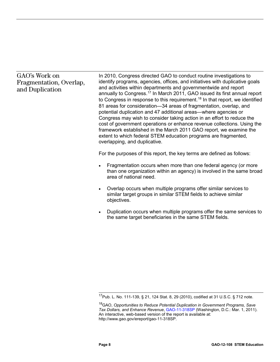#### GAO's Work on Fragmentation, Overlap, and Duplication

In 2010, Congress directed GAO to conduct routine investigations to identify programs, agencies, offices, and initiatives with duplicative goals and activities within departments and governmentwide and report annually to Congress. [17](#page-12-0) In March 2011, GAO issued its first annual report to Congress in response to this requirement. [18](#page-12-1) In that report, we identified 81 areas for consideration—34 areas of fragmentation, overlap, and potential duplication and 47 additional areas—where agencies or Congress may wish to consider taking action in an effort to reduce the cost of government operations or enhance revenue collections. Using the framework established in the March 2011 GAO report, we examine the extent to which federal STEM education programs are fragmented, overlapping, and duplicative.

For the purposes of this report, the key terms are defined as follows:

- Fragmentation occurs when more than one federal agency (or more than one organization within an agency) is involved in the same broad area of national need.
- Overlap occurs when multiple programs offer similar services to similar target groups in similar STEM fields to achieve similar objectives.
- Duplication occurs when multiple programs offer the same services to the same target beneficiaries in the same STEM fields.

 $\overline{a}$ <sup>17</sup>Pub. L. No. 111-139, § 21, 124 Stat. 8, 29 (2010), codified at 31 U.S.C. § 712 note.

<span id="page-12-1"></span><span id="page-12-0"></span><sup>18</sup>GAO, *Opportunities to Reduce Potential Duplication in Government Programs, Save Tax Dollars, and Enhance Revenue*, [GAO-11-318SP](http://www.gao.gov/products/GAO-11-318SP) (Washington, D.C.: Mar. 1, 2011). An interactive, web-based version of the report is available at: http://www.gao.gov/ereport/gao-11-318SP.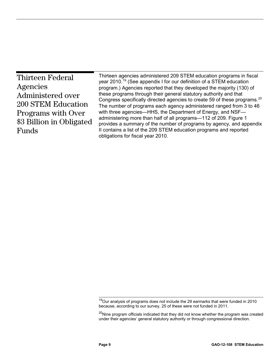<span id="page-13-0"></span>

| <b>Thirteen Federal</b>   | Thirteen agencies administered 209 STEM education programs in fiscal<br>year 2010. <sup>19</sup> (See appendix I for our definition of a STEM education      |  |  |  |  |  |
|---------------------------|--------------------------------------------------------------------------------------------------------------------------------------------------------------|--|--|--|--|--|
| Agencies                  | program.) Agencies reported that they developed the majority (130) of                                                                                        |  |  |  |  |  |
| Administered over         | these programs through their general statutory authority and that                                                                                            |  |  |  |  |  |
| <b>200 STEM Education</b> | Congress specifically directed agencies to create 59 of these programs. <sup>20</sup><br>The number of programs each agency administered ranged from 3 to 46 |  |  |  |  |  |
| Programs with Over        | with three agencies—HHS, the Department of Energy, and NSF—                                                                                                  |  |  |  |  |  |
| \$3 Billion in Obligated  | administering more than half of all programs-112 of 209. Figure 1<br>provides a summary of the number of programs by agency, and appendix                    |  |  |  |  |  |
| Funds                     | II contains a list of the 209 STEM education programs and reported                                                                                           |  |  |  |  |  |
|                           | obligations for fiscal year 2010.                                                                                                                            |  |  |  |  |  |

 $\overline{a}$ <sup>19</sup>Our analysis of programs does not include the 29 earmarks that were funded in 2010 because, according to our survey, 25 of these were not funded in 2011.

<span id="page-13-2"></span><span id="page-13-1"></span><sup>&</sup>lt;sup>20</sup>Nine program officials indicated that they did not know whether the program was created under their agencies' general statutory authority or through congressional direction.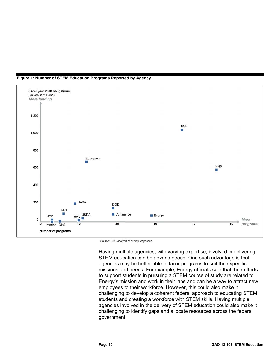

**Figure 1: Number of STEM Education Programs Reported by Agency** 

Source: GAO analysis of survey responses.

Having multiple agencies, with varying expertise, involved in delivering STEM education can be advantageous. One such advantage is that agencies may be better able to tailor programs to suit their specific missions and needs. For example, Energy officials said that their efforts to support students in pursuing a STEM course of study are related to Energy's mission and work in their labs and can be a way to attract new employees to their workforce. However, this could also make it challenging to develop a coherent federal approach to educating STEM students and creating a workforce with STEM skills. Having multiple agencies involved in the delivery of STEM education could also make it challenging to identify gaps and allocate resources across the federal government.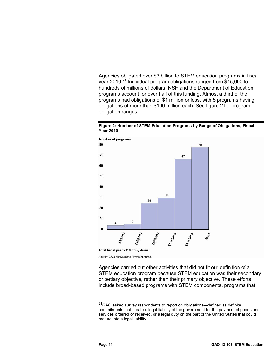Agencies obligated over \$3 billion to STEM education programs in fiscal year 2010.<sup>21</sup> Individual program obligations ranged from \$15,000 to hundreds of millions of dollars. NSF and the Department of Education programs account for over half of this funding. Almost a third of the programs had obligations of \$1 million or less, with 5 programs having obligations of more than \$100 million each. See figure 2 for program obligation ranges.

<span id="page-15-0"></span>



Source: GAO analysis of survey responses.

Agencies carried out other activities that did not fit our definition of a STEM education program because STEM education was their secondary or tertiary objective, rather than their primary objective. These efforts include broad-based programs with STEM components, programs that

<span id="page-15-1"></span> $\overline{a}$ <sup>21</sup>GAO asked survey respondents to report on obligations—defined as definite commitments that create a legal liability of the government for the payment of goods and services ordered or received, or a legal duty on the part of the United States that could mature into a legal liability.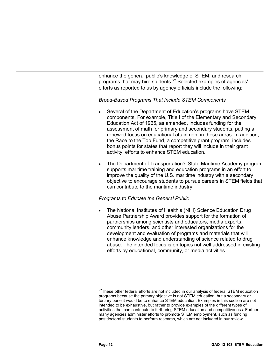enhance the general public's knowledge of STEM, and research programs that may hire students.<sup>[22](#page-16-0)</sup> Selected examples of agencies' efforts as reported to us by agency officials include the following:

#### *Broad-Based Programs That Include STEM Components*

- Several of the Department of Education's programs have STEM components. For example, Title I of the Elementary and Secondary Education Act of 1965, as amended, includes funding for the assessment of math for primary and secondary students, putting a renewed focus on educational attainment in these areas. In addition, the Race to the Top Fund, a competitive grant program, includes bonus points for states that report they will include in their grant activity, efforts to enhance STEM education.
- The Department of Transportation's State Maritime Academy program supports maritime training and education programs in an effort to improve the quality of the U.S. maritime industry with a secondary objective to encourage students to pursue careers in STEM fields that can contribute to the maritime industry.

#### *Programs to Educate the General Public*

• The National Institutes of Health's (NIH) Science Education Drug Abuse Partnership Award provides support for the formation of partnerships among scientists and educators, media experts, community leaders, and other interested organizations for the development and evaluation of programs and materials that will enhance knowledge and understanding of science related to drug abuse. The intended focus is on topics not well addressed in existing efforts by educational, community, or media activities.

<span id="page-16-0"></span> $\overline{a}$  $^{22}$ These other federal efforts are not included in our analysis of federal STEM education programs because the primary objective is not STEM education, but a secondary or tertiary benefit would be to enhance STEM education. Examples in this section are not intended to be exhaustive, but rather to provide examples of the different types of activities that can contribute to furthering STEM education and competitiveness. Further, many agencies administer efforts to promote STEM employment, such as funding postdoctoral students to perform research, which are not included in our review.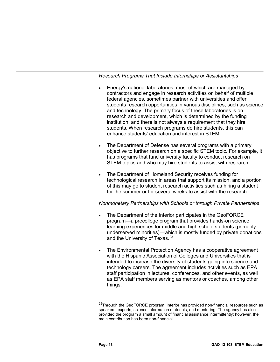*Research Programs That Include Internships or Assistantships*

- Energy's national laboratories, most of which are managed by contractors and engage in research activities on behalf of multiple federal agencies, sometimes partner with universities and offer students research opportunities in various disciplines, such as science and technology. The primary focus of these laboratories is on research and development, which is determined by the funding institution, and there is not always a requirement that they hire students. When research programs do hire students, this can enhance students' education and interest in STEM.
- The Department of Defense has several programs with a primary objective to further research on a specific STEM topic. For example, it has programs that fund university faculty to conduct research on STEM topics and who may hire students to assist with research.
- The Department of Homeland Security receives funding for technological research in areas that support its mission, and a portion of this may go to student research activities such as hiring a student for the summer or for several weeks to assist with the research.

#### *Nonmonetary Partnerships with Schools or through Private Partnerships*

- The Department of the Interior participates in the GeoFORCE program—a precollege program that provides hands-on science learning experiences for middle and high school students (primarily underserved minorities)—which is mostly funded by private donations and the University of Texas.<sup>[23](#page-17-0)</sup>
- The Environmental Protection Agency has a cooperative agreement with the Hispanic Association of Colleges and Universities that is intended to increase the diversity of students going into science and technology careers. The agreement includes activities such as EPA staff participation in lectures, conferences, and other events, as well as EPA staff members serving as mentors or coaches, among other things.

<span id="page-17-0"></span> $\overline{a}$ <sup>23</sup>Through the GeoFORCE program, Interior has provided non-financial resources such as speakers, experts, science information materials, and mentoring. The agency has also provided the program a small amount of financial assistance intermittently; however, the main contribution has been non-financial.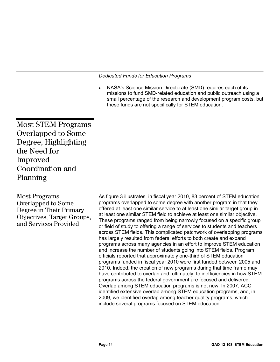*Dedicated Funds for Education Programs*

• NASA's Science Mission Directorate (SMD) requires each of its missions to fund SMD-related education and public outreach using a small percentage of the research and development program costs, but these funds are not specifically for STEM education.

<span id="page-18-0"></span>Most STEM Programs Overlapped to Some Degree, Highlighting the Need for Improved Coordination and Planning

Most Programs Overlapped to Some Degree in Their Primary Objectives, Target Groups, and Services Provided

As figure 3 illustrates, in fiscal year 2010, 83 percent of STEM education programs overlapped to some degree with another program in that they offered at least one similar service to at least one similar target group in at least one similar STEM field to achieve at least one similar objective. These programs ranged from being narrowly focused on a specific group or field of study to offering a range of services to students and teachers across STEM fields. This complicated patchwork of overlapping programs has largely resulted from federal efforts to both create and expand programs across many agencies in an effort to improve STEM education and increase the number of students going into STEM fields. Program officials reported that approximately one-third of STEM education programs funded in fiscal year 2010 were first funded between 2005 and 2010. Indeed, the creation of new programs during that time frame may have contributed to overlap and, ultimately, to inefficiencies in how STEM programs across the federal government are focused and delivered. Overlap among STEM education programs is not new. In 2007, ACC identified extensive overlap among STEM education programs, and, in 2009, we identified overlap among teacher quality programs, which include several programs focused on STEM education.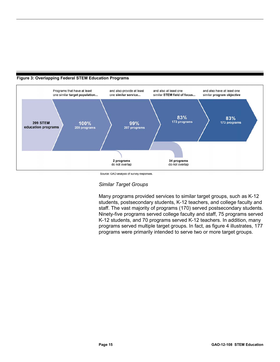

#### <span id="page-19-0"></span>**Figure 3: Overlapping Federal STEM Education Programs**

Source: GAO analysis of survey responses.

*Similar Target Groups*

Many programs provided services to similar target groups, such as K-12 students, postsecondary students, K-12 teachers, and college faculty and staff. The vast majority of programs (170) served postsecondary students. Ninety-five programs served college faculty and staff, 75 programs served K-12 students, and 70 programs served K-12 teachers. In addition, many programs served multiple target groups. In fact, as figure 4 illustrates, 177 programs were primarily intended to serve two or more target groups.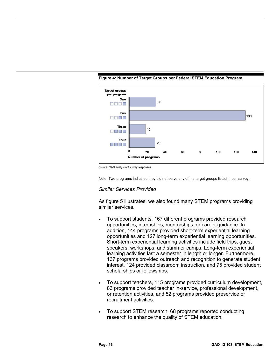

<span id="page-20-0"></span>**Figure 4: Number of Target Groups per Federal STEM Education Program**

Note: Two programs indicated they did not serve any of the target groups listed in our survey.

#### *Similar Services Provided*

As figure 5 illustrates, we also found many STEM programs providing similar services.

- To support students, 167 different programs provided research opportunities, internships, mentorships, or career guidance. In addition, 144 programs provided short-term experiential learning opportunities and 127 long-term experiential learning opportunities. Short-term experiential learning activities include field trips, guest speakers, workshops, and summer camps. Long-term experiential learning activities last a semester in length or longer. Furthermore, 137 programs provided outreach and recognition to generate student interest, 124 provided classroom instruction, and 75 provided student scholarships or fellowships.
- To support teachers, 115 programs provided curriculum development, 83 programs provided teacher in-service, professional development, or retention activities, and 52 programs provided preservice or recruitment activities.
- To support STEM research, 68 programs reported conducting research to enhance the quality of STEM education.

Source: GAO analysis of survey responses.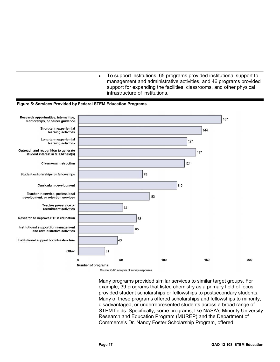• To support institutions, 65 programs provided institutional support to management and administrative activities, and 46 programs provided support for expanding the facilities, classrooms, and other physical infrastructure of institutions.

#### <span id="page-21-0"></span>**Figure 5: Services Provided by Federal STEM Education Programs**



Many programs provided similar services to similar target groups. For example, 39 programs that listed chemistry as a primary field of focus provided student scholarships or fellowships to postsecondary students. Many of these programs offered scholarships and fellowships to minority, disadvantaged, or underrepresented students across a broad range of STEM fields. Specifically, some programs, like NASA's Minority University Research and Education Program (MUREP) and the Department of Commerce's Dr. Nancy Foster Scholarship Program, offered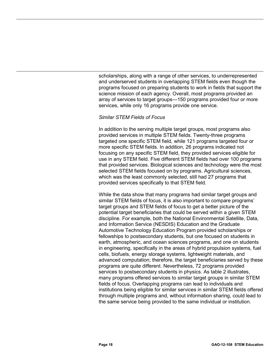scholarships, along with a range of other services, to underrepresented and underserved students in overlapping STEM fields even though the programs focused on preparing students to work in fields that support the science mission of each agency. Overall, most programs provided an array of services to target groups—150 programs provided four or more services, while only 16 programs provide one service.

#### *Similar STEM Fields of Focus*

In addition to the serving multiple target groups, most programs also provided services in multiple STEM fields. Twenty-three programs targeted one specific STEM field, while 121 programs targeted four or more specific STEM fields. In addition, 26 programs indicated not focusing on any specific STEM field, they provided services eligible for use in any STEM field. Five different STEM fields had over 100 programs that provided services. Biological sciences and technology were the most selected STEM fields focused on by programs. Agricultural sciences, which was the least commonly selected, still had 27 programs that provided services specifically to that STEM field.

While the data show that many programs had similar target groups and similar STEM fields of focus, it is also important to compare programs' target groups and STEM fields of focus to get a better picture of the potential target beneficiaries that could be served within a given STEM discipline. For example, both the National Environmental Satellite, Data, and Information Service (NESDIS) Education and the Graduate Automotive Technology Education Program provided scholarships or fellowships to postsecondary students, but one focused on students in earth, atmospheric, and ocean sciences programs, and one on students in engineering, specifically in the areas of hybrid propulsion systems, fuel cells, biofuels, energy storage systems, lightweight materials, and advanced computation; therefore, the target beneficiaries served by these programs are quite different. Nevertheless, 72 programs provided services to postsecondary students in physics. As table 2 illustrates, many programs offered services to similar target groups in similar STEM fields of focus. Overlapping programs can lead to individuals and institutions being eligible for similar services in similar STEM fields offered through multiple programs and, without information sharing, could lead to the same service being provided to the same individual or institution.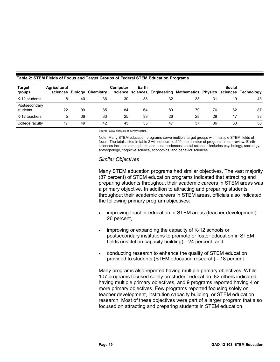| <b>Target</b>             | <b>Agricultural</b><br>sciences Biology |    | Chemistry | <b>Computer</b><br>science | Earth<br>sciences |    | <b>Engineering Mathematics Physics</b> |    | Social<br>sciences | Technoloav |
|---------------------------|-----------------------------------------|----|-----------|----------------------------|-------------------|----|----------------------------------------|----|--------------------|------------|
| groups                    |                                         |    |           |                            |                   |    |                                        |    |                    |            |
| K-12 students             |                                         | 40 | 36        | 30                         | 38                | 32 | 33                                     | 31 | 19                 | 43         |
| Postsecondary<br>students | 22                                      | 99 | 85        | 84                         | 64                | 89 | 79                                     | 76 | 62                 | 87         |
| K-12 teachers             |                                         | 36 | 33        | 25                         | 39                | 26 | 28                                     | 29 | 17                 | 38         |
| College faculty           | 17                                      | 49 | 42        | 43                         | 35                | 47 | 37                                     | 36 | 30                 | 50         |

#### <span id="page-23-0"></span>**Table 2: STEM Fields of Focus and Target Groups of Federal STEM Education Programs**

Source: GAO analysis of survey results.

Note: Many STEM education programs serve multiple target groups with multiple STEM fields of focus. The totals cited in table 2 will not sum to 209, the number of programs in our review. Earth sciences includes atmospheric and ocean sciences; social sciences includes psychology, sociology, anthropology, cognitive science, economics, and behavior sciences.

#### *Similar Objectives*

Many STEM education programs had similar objectives. The vast majority (87 percent) of STEM education programs indicated that attracting and preparing students throughout their academic careers in STEM areas was a primary objective. In addition to attracting and preparing students throughout their academic careers in STEM areas, officials also indicated the following primary program objectives:

- improving teacher education in STEM areas (teacher development)— 26 percent,
- improving or expanding the capacity of K-12 schools or postsecondary institutions to promote or foster education in STEM fields (institution capacity building)—24 percent, and
- conducting research to enhance the quality of STEM education provided to students (STEM education research)—18 percent.

Many programs also reported having multiple primary objectives. While 107 programs focused solely on student education, 82 others indicated having multiple primary objectives, and 9 programs reported having 4 or more primary objectives. Few programs reported focusing solely on teacher development, institution capacity building, or STEM education research. Most of these objectives were part of a larger program that also focused on attracting and preparing students in STEM education.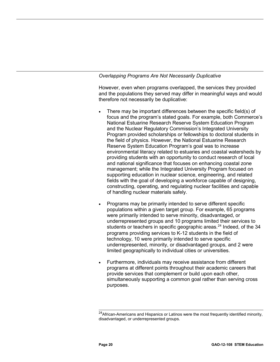#### *Overlapping Programs Are Not Necessarily Duplicative*

However, even when programs overlapped, the services they provided and the populations they served may differ in meaningful ways and would therefore not necessarily be duplicative:

- There may be important differences between the specific field(s) of focus and the program's stated goals. For example, both Commerce's National Estuarine Research Reserve System Education Program and the Nuclear Regulatory Commission's Integrated University Program provided scholarships or fellowships to doctoral students in the field of physics. However, the National Estuarine Research Reserve System Education Program's goal was to increase environmental literacy related to estuaries and coastal watersheds by providing students with an opportunity to conduct research of local and national significance that focuses on enhancing coastal zone management; while the Integrated University Program focused on supporting education in nuclear science, engineering, and related fields with the goal of developing a workforce capable of designing, constructing, operating, and regulating nuclear facilities and capable of handling nuclear materials safely.
- Programs may be primarily intended to serve different specific populations within a given target group. For example, 65 programs were primarily intended to serve minority, disadvantaged, or underrepresented groups and 10 programs limited their services to students or teachers in specific geographic areas.<sup>[24](#page-24-0)</sup> Indeed, of the 34 programs providing services to K-12 students in the field of technology, 10 were primarily intended to serve specific underrepresented, minority, or disadvantaged groups, and 2 were limited geographically to individual cities or universities.
- Furthermore, individuals may receive assistance from different programs at different points throughout their academic careers that provide services that complement or build upon each other, simultaneously supporting a common goal rather than serving cross purposes.

<span id="page-24-0"></span> $\overline{a}$ <sup>24</sup>African-Americans and Hispanics or Latinos were the most frequently identified minority, disadvantaged, or underrepresented groups.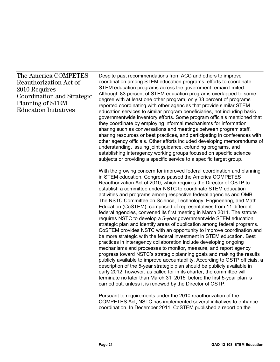#### The America COMPETES Reauthorization Act of 2010 Requires Coordination and Strategic Planning of STEM Education Initiatives

Despite past recommendations from ACC and others to improve coordination among STEM education programs, efforts to coordinate STEM education programs across the government remain limited. Although 83 percent of STEM education programs overlapped to some degree with at least one other program, only 33 percent of programs reported coordinating with other agencies that provide similar STEM education services to similar program beneficiaries, not including basic governmentwide inventory efforts. Some program officials mentioned that they coordinate by employing informal mechanisms for information sharing such as conversations and meetings between program staff, sharing resources or best practices, and participating in conferences with other agency officials. Other efforts included developing memorandums of understanding, issuing joint guidance, cofunding programs, and establishing interagency working groups focused on specific science subjects or providing a specific service to a specific target group.

With the growing concern for improved federal coordination and planning in STEM education, Congress passed the America COMPETES Reauthorization Act of 2010, which requires the Director of OSTP to establish a committee under NSTC to coordinate STEM education activities and programs among respective federal agencies and OMB. The NSTC Committee on Science, Technology, Engineering, and Math Education (CoSTEM), comprised of representatives from 11 different federal agencies, convened its first meeting in March 2011. The statute requires NSTC to develop a 5-year governmentwide STEM education strategic plan and identify areas of duplication among federal programs. CoSTEM provides NSTC with an opportunity to improve coordination and be more strategic with the federal investment in STEM education. Best practices in interagency collaboration include developing ongoing mechanisms and processes to monitor, measure, and report agency progress toward NSTC's strategic planning goals and making the results publicly available to improve accountability. According to OSTP officials, a description of the 5-year strategic plan should be publicly available in early 2012; however, as called for in its charter, the committee will terminate no later than March 31, 2015, before the first 5-year plan is carried out, unless it is renewed by the Director of OSTP.

Pursuant to requirements under the 2010 reauthorization of the COMPETES Act, NSTC has implemented several initiatives to enhance coordination. In December 2011, CoSTEM published a report on the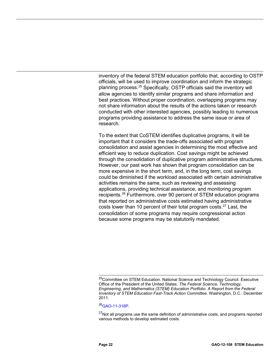inventory of the federal STEM education portfolio that, according to OSTP officials, will be used to improve coordination and inform the strategic planning process.<sup>[25](#page-26-0)</sup> Specifically, OSTP officials said the inventory will allow agencies to identify similar programs and share information and best practices. Without proper coordination, overlapping programs may not share information about the results of the actions taken or research conducted with other interested agencies, possibly leading to numerous programs providing assistance to address the same issue or area of research.

To the extent that CoSTEM identifies duplicative programs, it will be important that it considers the trade-offs associated with program consolidation and assist agencies in determining the most effective and efficient way to reduce duplication. Cost savings might be achieved through the consolidation of duplicative program administrative structures. However, our past work has shown that program consolidation can be more expensive in the short term, and, in the long term, cost savings could be diminished if the workload associated with certain administrative activities remains the same, such as reviewing and assessing applications, providing technical assistance, and monitoring program recipients. [26](#page-26-1) Furthermore, over 90 percent of STEM education programs that reported on administrative costs estimated having administrative costs lower than 10 percent of their total program costs.<sup>27</sup> Last, the consolidation of some programs may require congressional action because some programs may be statutorily mandated.

<span id="page-26-1"></span>[26GAO-11-318P.](http://www.gao.gov/products/GAO-11-318P)

<span id="page-26-0"></span> $\overline{a}$ <sup>25</sup>Committee on STEM Education. National Science and Technology Council. Executive Office of the President of the United States. *The Federal Science, Technology, Engineering, and Mathematics (STEM) Education Portfolio. A Report from the Federal Inventory of STEM Education Fast-Track Action Committee.* Washington, D.C.: December 2011.

<span id="page-26-2"></span><sup>&</sup>lt;sup>27</sup>Not all programs use the same definition of administrative costs, and programs reported various methods to develop estimated costs.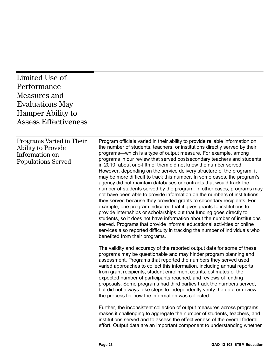<span id="page-27-0"></span>

| Limited Use of<br>Performance<br>Measures and<br><b>Evaluations May</b><br><b>Hamper Ability to</b><br><b>Assess Effectiveness</b> |                                                                                                                                                                                                                                                                                                                                                                                                                                                                                                                                                                                                                                                                                                                                                                                                                                                                                                                                                                                                                                                                                                                                                                                                                                                                      |
|------------------------------------------------------------------------------------------------------------------------------------|----------------------------------------------------------------------------------------------------------------------------------------------------------------------------------------------------------------------------------------------------------------------------------------------------------------------------------------------------------------------------------------------------------------------------------------------------------------------------------------------------------------------------------------------------------------------------------------------------------------------------------------------------------------------------------------------------------------------------------------------------------------------------------------------------------------------------------------------------------------------------------------------------------------------------------------------------------------------------------------------------------------------------------------------------------------------------------------------------------------------------------------------------------------------------------------------------------------------------------------------------------------------|
| Programs Varied in Their<br>Ability to Provide<br>Information on<br><b>Populations Served</b>                                      | Program officials varied in their ability to provide reliable information on<br>the number of students, teachers, or institutions directly served by their<br>programs—which is a type of output measure. For example, among<br>programs in our review that served postsecondary teachers and students<br>in 2010, about one-fifth of them did not know the number served.<br>However, depending on the service delivery structure of the program, it<br>may be more difficult to track this number. In some cases, the program's<br>agency did not maintain databases or contracts that would track the<br>number of students served by the program. In other cases, programs may<br>not have been able to provide information on the numbers of institutions<br>they served because they provided grants to secondary recipients. For<br>example, one program indicated that it gives grants to institutions to<br>provide internships or scholarships but that funding goes directly to<br>students, so it does not have information about the number of institutions<br>served. Programs that provide informal educational activities or online<br>services also reported difficulty in tracking the number of individuals who<br>benefited from their programs. |
|                                                                                                                                    | The validity and accuracy of the reported output data for some of these<br>programs may be questionable and may hinder program planning and<br>assessment. Programs that reported the numbers they served used<br>varied approaches to collect this information, including annual reports<br>from grant recipients, student enrollment counts, estimates of the<br>expected number of participants reached, and reviews of funding<br>proposals. Some programs had third parties track the numbers served,<br>but did not always take steps to independently verify the data or review<br>the process for how the information was collected.<br>Further, the inconsistent collection of output measures across programs<br>makes it challenging to aggregate the number of students, teachers, and<br>institutions served and to assess the effectiveness of the overall federal<br>effort. Output data are an important component to understanding whether                                                                                                                                                                                                                                                                                                          |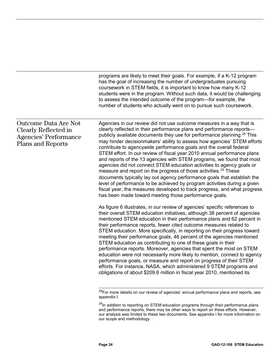|                                                                                                                 | programs are likely to meet their goals. For example, if a K-12 program<br>has the goal of increasing the number of undergraduates pursuing<br>coursework in STEM fields, it is important to know how many K-12<br>students were in the program. Without such data, it would be challenging<br>to assess the intended outcome of the program—for example, the<br>number of students who actually went on to pursue such coursework.                                                                                                                                                                                                                                                                                                                                                                                                                                                                                                                                                          |
|-----------------------------------------------------------------------------------------------------------------|----------------------------------------------------------------------------------------------------------------------------------------------------------------------------------------------------------------------------------------------------------------------------------------------------------------------------------------------------------------------------------------------------------------------------------------------------------------------------------------------------------------------------------------------------------------------------------------------------------------------------------------------------------------------------------------------------------------------------------------------------------------------------------------------------------------------------------------------------------------------------------------------------------------------------------------------------------------------------------------------|
| <b>Outcome Data Are Not</b><br>Clearly Reflected in<br><b>Agencies' Performance</b><br><b>Plans and Reports</b> | Agencies in our review did not use outcome measures in a way that is<br>clearly reflected in their performance plans and performance reports-<br>publicly available documents they use for performance planning. <sup>28</sup> This<br>may hinder decisionmakers' ability to assess how agencies' STEM efforts<br>contribute to agencywide performance goals and the overall federal<br>STEM effort. In our review of fiscal year 2010 annual performance plans<br>and reports of the 13 agencies with STEM programs, we found that most<br>agencies did not connect STEM education activities to agency goals or<br>measure and report on the progress of those activities. <sup>29</sup> These<br>documents typically lay out agency performance goals that establish the<br>level of performance to be achieved by program activities during a given<br>fiscal year, the measures developed to track progress, and what progress<br>has been made toward meeting those performance goals. |
|                                                                                                                 | As figure 6 illustrates, in our review of agencies' specific references to<br>their overall STEM education initiatives, although 38 percent of agencies<br>mentioned STEM education in their performance plans and 62 percent in<br>their performance reports, fewer cited outcome measures related to<br>STEM education. More specifically, in reporting on their progress toward<br>meeting their performance goals, 46 percent of the agencies mentioned<br>STEM education as contributing to one of these goals in their<br>performance reports. Moreover, agencies that spent the most on STEM<br>education were not necessarily more likely to mention, connect to agency<br>performance goals, or measure and report on progress of their STEM<br>efforts. For instance, NASA, which administered 9 STEM programs and<br>obligations of about \$209.6 million in fiscal year 2010, mentioned its                                                                                      |

<sup>&</sup>lt;sup>28</sup>For more details on our review of agencies' annual performance plans and reports, see appendix I.

 $\overline{a}$ 

<span id="page-28-1"></span><span id="page-28-0"></span><sup>&</sup>lt;sup>29</sup>In addition to reporting on STEM education programs through their performance plans and performance reports, there may be other ways to report on these efforts. However, our analysis was limited to these two documents. See appendix I for more information on our scope and methodology.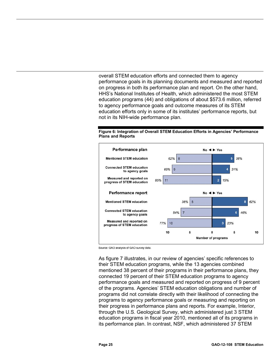overall STEM education efforts and connected them to agency performance goals in its planning documents and measured and reported on progress in both its performance plan and report. On the other hand, HHS's National Institutes of Health, which administered the most STEM education programs (44) and obligations of about \$573.6 million, referred to agency performance goals and outcome measures of its STEM education efforts only in some of its institutes' performance reports, but not in its NIH-wide performance plan.



#### <span id="page-29-0"></span>**Figure 6: Integration of Overall STEM Education Efforts in Agencies' Performance Plans and Reports**

Source: GAO analysis of GAO survey data.

As figure 7 illustrates, in our review of agencies' specific references to their STEM education programs, while the 13 agencies combined mentioned 38 percent of their programs in their performance plans, they connected 19 percent of their STEM education programs to agency performance goals and measured and reported on progress of 9 percent of the programs. Agencies' STEM education obligations and number of programs did not correlate directly with their likelihood of connecting the programs to agency performance goals or measuring and reporting on their progress in performance plans and reports. For example, Interior, through the U.S. Geological Survey, which administered just 3 STEM education programs in fiscal year 2010, mentioned all of its programs in its performance plan. In contrast, NSF, which administered 37 STEM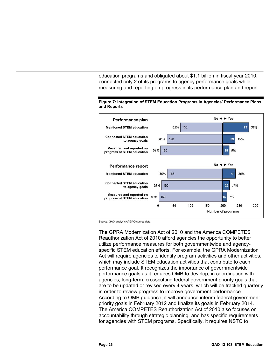education programs and obligated about \$1.1 billion in fiscal year 2010, connected only 2 of its programs to agency performance goals while measuring and reporting on progress in its performance plan and report.



<span id="page-30-0"></span>

Source: GAO analysis of GAO survey data.

The GPRA Modernization Act of 2010 and the America COMPETES Reauthorization Act of 2010 afford agencies the opportunity to better utilize performance measures for both governmentwide and agencyspecific STEM education efforts. For example, the GPRA Modernization Act will require agencies to identify program activities and other activities, which may include STEM education activities that contribute to each performance goal. It recognizes the importance of governmentwide performance goals as it requires OMB to develop, in coordination with agencies, long-term, crosscutting federal government priority goals that are to be updated or revised every 4 years, which will be tracked quarterly in order to review progress to improve government performance. According to OMB guidance, it will announce interim federal government priority goals in February 2012 and finalize its goals in February 2014. The America COMPETES Reauthorization Act of 2010 also focuses on accountability through strategic planning, and has specific requirements for agencies with STEM programs. Specifically, it requires NSTC to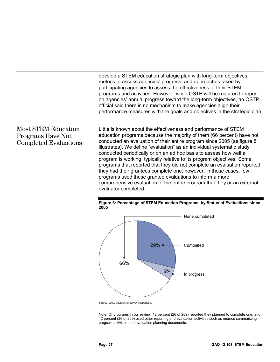develop a STEM education strategic plan with long-term objectives, metrics to assess agencies' progress, and approaches taken by participating agencies to assess the effectiveness of their STEM programs and activities. However, while OSTP will be required to report on agencies' annual progress toward the long-term objectives, an OSTP official said there is no mechanism to make agencies align their performance measures with the goals and objectives in the strategic plan.

#### Most STEM Education Programs Have Not Completed Evaluations

Little is known about the effectiveness and performance of STEM education programs because the majority of them (66 percent) have not conducted an evaluation of their entire program since 2005 (as figure 8 illustrates). We define "evaluation" as an individual systematic study conducted periodically or on an ad hoc basis to assess how well a program is working, typically relative to its program objectives. Some programs that reported that they did not complete an evaluation reported they had their grantees complete one; however, in those cases, few programs used these grantee evaluations to inform a more comprehensive evaluation of the entire program that they or an external evaluator completed.

<span id="page-31-0"></span>



Source: GAO analysis of survey responses.

Note: Of programs in our review, 12 percent (26 of 209) reported they planned to complete one, and 12 percent (26 of 209) used other reporting and evaluation activities such as memos summarizing program activities and evaluation planning documents.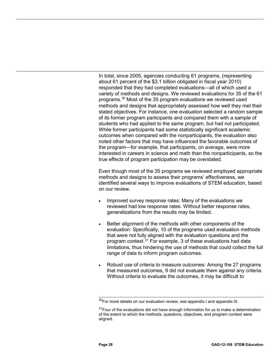In total, since 2005, agencies conducting 61 programs, (representing about 61 percent of the \$3.1 billion obligated in fiscal year 2010) responded that they had completed evaluations—all of which used a variety of methods and designs. We reviewed evaluations for 35 of the 61 programs.[30](#page-32-0) Most of the 35 program evaluations we reviewed used methods and designs that appropriately assessed how well they met their stated objectives. For instance, one evaluation selected a random sample of its former program participants and compared them with a sample of students who had applied to the same program, but had not participated. While former participants had some statistically significant academic outcomes when compared with the nonparticipants, the evaluation also noted other factors that may have influenced the favorable outcomes of the program—for example, that participants, on average, were more interested in careers in science and math than the nonparticipants, so the true effects of program participation may be overstated.

Even though most of the 35 programs we reviewed employed appropriate methods and designs to assess their programs' effectiveness, we identified several ways to improve evaluations of STEM education, based on our review.

- Improved survey response rates: Many of the evaluations we reviewed had low response rates. Without better response rates, generalizations from the results may be limited.
- Better alignment of the methods with other components of the evaluation: Specifically, 10 of the programs used evaluation methods that were not fully aligned with the evaluation questions and the program context.<sup>[31](#page-32-1)</sup> For example, 3 of these evaluations had data limitations, thus hindering the use of methods that could collect the full range of data to inform program outcomes.
- Robust use of criteria to measure outcomes: Among the 27 programs that measured outcomes, 9 did not evaluate them against any criteria. Without criteria to evaluate the outcomes, it may be difficult to

<span id="page-32-0"></span> $\overline{\phantom{a}}$ <sup>30</sup>For more details on our evaluation review, see appendix I and appendix III.

<span id="page-32-1"></span> $31$ Four of the evaluations did not have enough information for us to make a determination of the extent to which the methods, questions, objectives, and program context were aligned.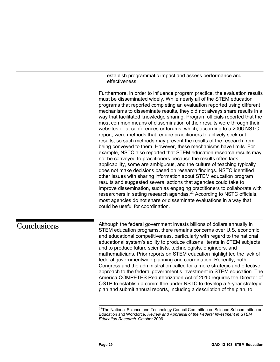establish programmatic impact and assess performance and effectiveness.

Furthermore, in order to influence program practice, the evaluation results must be disseminated widely. While nearly all of the STEM education programs that reported completing an evaluation reported using different mechanisms to disseminate results, they did not always share results in a way that facilitated knowledge sharing. Program officials reported that the most common means of dissemination of their results were through their websites or at conferences or forums, which, according to a 2006 NSTC report, were methods that require practitioners to actively seek out results, so such methods may prevent the results of the research from being conveyed to them. However, these mechanisms have limits. For example, NSTC also reported that STEM education research results may not be conveyed to practitioners because the results often lack applicability, some are ambiguous, and the culture of teaching typically does not make decisions based on research findings. NSTC identified other issues with sharing information about STEM education program results and suggested several actions that agencies could take to improve dissemination, such as engaging practitioners to collaborate with researchers in setting research agendas.<sup>[32](#page-33-1)</sup> According to NSTC officials, most agencies do not share or disseminate evaluations in a way that could be useful for coordination.

<span id="page-33-1"></span><span id="page-33-0"></span>**Conclusions** 

Although the federal government invests billions of dollars annually in STEM education programs, there remains concerns over U.S. economic and educational competitiveness, particularly with regard to the national educational system's ability to produce citizens literate in STEM subjects and to produce future scientists, technologists, engineers, and mathematicians. Prior reports on STEM education highlighted the lack of federal governmentwide planning and coordination. Recently, both Congress and the administration called for a more strategic and effective approach to the federal government's investment in STEM education. The America COMPETES Reauthorization Act of 2010 requires the Director of OSTP to establish a committee under NSTC to develop a 5-year strategic plan and submit annual reports, including a description of the plan, to

 $\overline{\phantom{a}}$ <sup>32</sup>The National Science and Technology Council Committee on Science Subcommittee on Education and Workforce. *Review and Appraisal of the Federal Investment in STEM Education Research.* October 2006.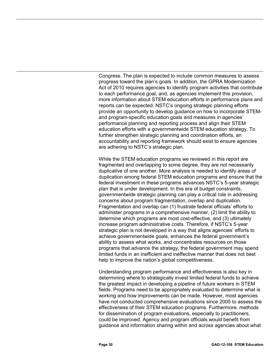Congress. The plan is expected to include common measures to assess progress toward the plan's goals. In addition, the GPRA Modernization Act of 2010 requires agencies to identify program activities that contribute to each performance goal, and, as agencies implement this provision, more information about STEM education efforts in performance plans and reports can be expected. NSTC's ongoing strategic planning efforts provide an opportunity to develop guidance on how to incorporate STEMand program-specific education goals and measures in agencies' performance planning and reporting process and align their STEM education efforts with a governmentwide STEM education strategy. To further strengthen strategic planning and coordination efforts, an accountability and reporting framework should exist to ensure agencies are adhering to NSTC's strategic plan.

While the STEM education programs we reviewed in this report are fragmented and overlapping to some degree, they are not necessarily duplicative of one another. More analysis is needed to identify areas of duplication among federal STEM education programs and ensure that the federal investment in these programs advances NSTC's 5-year strategic plan that is under development. In this era of budget constraints, governmentwide strategic planning can play a critical role in addressing concerns about program fragmentation, overlap and duplication. Fragmentation and overlap can (1) frustrate federal officials' efforts to administer programs in a comprehensive manner, (2) limit the ability to determine which programs are most cost-effective, and (3) ultimately increase program administrative costs. Therefore, if NSTC's 5-year strategic plan is not developed in a way that aligns agencies' efforts to achieve governmentwide goals, enhances the federal government's ability to assess what works, and concentrates resources on those programs that advance the strategy, the federal government may spend limited funds in an inefficient and ineffective manner that does not best help to improve the nation's global competitiveness.

Understanding program performance and effectiveness is also key in determining where to strategically invest limited federal funds to achieve the greatest impact in developing a pipeline of future workers in STEM fields. Programs need to be appropriately evaluated to determine what is working and how improvements can be made. However, most agencies have not conducted comprehensive evaluations since 2005 to assess the effectiveness of their STEM education programs. Furthermore, methods for dissemination of program evaluations, especially to practitioners, could be improved. Agency and program officials would benefit from guidance and information sharing within and across agencies about what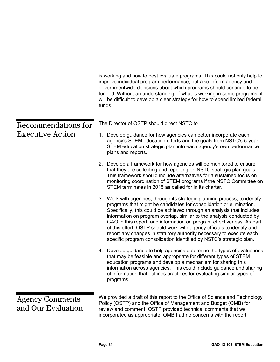<span id="page-35-1"></span><span id="page-35-0"></span>

|                                              | is working and how to best evaluate programs. This could not only help to<br>improve individual program performance, but also inform agency and<br>governmentwide decisions about which programs should continue to be<br>funded. Without an understanding of what is working in some programs, it<br>will be difficult to develop a clear strategy for how to spend limited federal<br>funds.                                                                                                                                                                                                       |  |  |  |
|----------------------------------------------|------------------------------------------------------------------------------------------------------------------------------------------------------------------------------------------------------------------------------------------------------------------------------------------------------------------------------------------------------------------------------------------------------------------------------------------------------------------------------------------------------------------------------------------------------------------------------------------------------|--|--|--|
| Recommendations for                          | The Director of OSTP should direct NSTC to                                                                                                                                                                                                                                                                                                                                                                                                                                                                                                                                                           |  |  |  |
| <b>Executive Action</b>                      | 1. Develop guidance for how agencies can better incorporate each<br>agency's STEM education efforts and the goals from NSTC's 5-year<br>STEM education strategic plan into each agency's own performance<br>plans and reports.                                                                                                                                                                                                                                                                                                                                                                       |  |  |  |
|                                              | 2. Develop a framework for how agencies will be monitored to ensure<br>that they are collecting and reporting on NSTC strategic plan goals.<br>This framework should include alternatives for a sustained focus on<br>monitoring coordination of STEM programs if the NSTC Committee on<br>STEM terminates in 2015 as called for in its charter.                                                                                                                                                                                                                                                     |  |  |  |
|                                              | 3. Work with agencies, through its strategic planning process, to identify<br>programs that might be candidates for consolidation or elimination.<br>Specifically, this could be achieved through an analysis that includes<br>information on program overlap, similar to the analysis conducted by<br>GAO in this report, and information on program effectiveness. As part<br>of this effort, OSTP should work with agency officials to identify and<br>report any changes in statutory authority necessary to execute each<br>specific program consolidation identified by NSTC's strategic plan. |  |  |  |
|                                              | 4. Develop guidance to help agencies determine the types of evaluations<br>that may be feasible and appropriate for different types of STEM<br>education programs and develop a mechanism for sharing this<br>information across agencies. This could include guidance and sharing<br>of information that outlines practices for evaluating similar types of<br>programs.                                                                                                                                                                                                                            |  |  |  |
| <b>Agency Comments</b><br>and Our Evaluation | We provided a draft of this report to the Office of Science and Technology<br>Policy (OSTP) and the Office of Management and Budget (OMB) for<br>review and comment. OSTP provided technical comments that we<br>incorporated as appropriate. OMB had no concerns with the report.                                                                                                                                                                                                                                                                                                                   |  |  |  |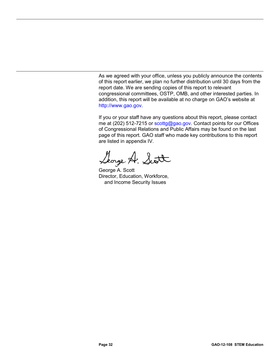As we agreed with your office, unless you publicly announce the contents of this report earlier, we plan no further distribution until 30 days from the report date. We are sending copies of this report to relevant congressional committees, OSTP, OMB, and other interested parties. In addition, this report will be available at no charge on GAO's website at [http://www.gao.gov.](http://www.gao.gov/)

If you or your staff have any questions about this report, please contact me at (202) 512-7215 or [scottg@gao.gov.](mailto:scottg@gao.gov) Contact points for our Offices of Congressional Relations and Public Affairs may be found on the last page of this report. GAO staff who made key contributions to this report are listed in appendix IV.

Slorge A. Scott

George A. Scott Director, Education, Workforce, and Income Security Issues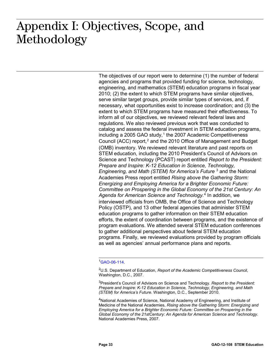## <span id="page-37-0"></span> $: \bullet \bullet \bullet \bullet \bullet \bullet \bullet \bullet \bullet \bullet \bullet \bullet$ Appendix I: Objectives, Scope, and Methodology

The objectives of our report were to determine (1) the number of federal agencies and programs that provided funding for science, technology, engineering, and mathematics (STEM) education programs in fiscal year 2010; (2) the extent to which STEM programs have similar objectives, serve similar target groups, provide similar types of services, and, if necessary, what opportunities exist to increase coordination; and (3) the extent to which STEM programs have measured their effectiveness. To inform all of our objectives, we reviewed relevant federal laws and regulations. We also reviewed previous work that was conducted to catalog and assess the federal investment in STEM education programs, including a 2005 GAO study, $1$  the 2007 Academic Competitiveness Council (ACC) report, $<sup>2</sup>$  $<sup>2</sup>$  $<sup>2</sup>$  and the 2010 Office of Management and Budget</sup> (OMB) inventory. We reviewed relevant literature and past reports on STEM education, including the 2010 President's Council of Advisors on Science and Technology (PCAST) report entitled *Report to the President: Prepare and Inspire: K-12 Education in Science, Technology, Engineering, and Math (STEM) for America's Future* [3](#page-37-3) and the National Academies Press report entitled *Rising above the Gathering Storm: Energizing and Employing America for a Brighter Economic Future: Committee on Prospering in the Global Economy of the 21st Century: An Agenda for American Science and Technology.*[4](#page-37-4) In addition, we interviewed officials from OMB, the Office of Science and Technology Policy (OSTP), and 13 other federal agencies that administer STEM education programs to gather information on their STEM education efforts, the extent of coordination between programs, and the existence of program evaluations. We attended several STEM education conferences to gather additional perspectives about federal STEM education programs. Finally, we reviewed evaluations provided by program officials as well as agencies' annual performance plans and reports.

## <span id="page-37-1"></span>1 [GAO-06-114.](http://www.gao.gov/products/GAO-06-114)

<span id="page-37-2"></span>2 U.S. Department of Education, *Report of the Academic Competitiveness Council*, Washington, D.C., 2007.

<span id="page-37-3"></span>3 President's Council of Advisors on Science and Technology. *Report to the President: Prepare and Inspire: K-12 Education in Science, Technology, Engineering, and Math (STEM) for America's Future*. Washington, D.C., September 2010.

<span id="page-37-4"></span><sup>4</sup>National Academies of Science, National Academy of Engineering, and Institute of Medicine of the National Academies, *Rising above the Gathering Storm: Energizing and Employing America for a Brighter Economic Future: Committee on Prospering in the Global Economy of the 21stCentury: An Agenda for American Science and Technology.* National Academies Press, 2007.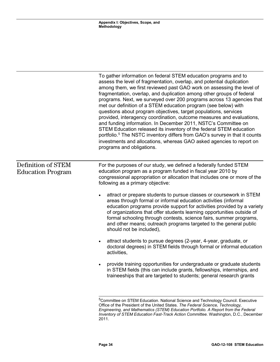|                                                | To gather information on federal STEM education programs and to<br>assess the level of fragmentation, overlap, and potential duplication<br>among them, we first reviewed past GAO work on assessing the level of<br>fragmentation, overlap, and duplication among other groups of federal<br>programs. Next, we surveyed over 200 programs across 13 agencies that<br>met our definition of a STEM education program (see below) with<br>questions about program objectives, target populations, services<br>provided, interagency coordination, outcome measures and evaluations,<br>and funding information. In December 2011, NSTC's Committee on<br>STEM Education released its inventory of the federal STEM education<br>portfolio. <sup>5</sup> The NSTC inventory differs from GAO's survey in that it counts<br>investments and allocations, whereas GAO asked agencies to report on<br>programs and obligations. |
|------------------------------------------------|-----------------------------------------------------------------------------------------------------------------------------------------------------------------------------------------------------------------------------------------------------------------------------------------------------------------------------------------------------------------------------------------------------------------------------------------------------------------------------------------------------------------------------------------------------------------------------------------------------------------------------------------------------------------------------------------------------------------------------------------------------------------------------------------------------------------------------------------------------------------------------------------------------------------------------|
| Definition of STEM<br><b>Education Program</b> | For the purposes of our study, we defined a federally funded STEM<br>education program as a program funded in fiscal year 2010 by<br>congressional appropriation or allocation that includes one or more of the<br>following as a primary objective:                                                                                                                                                                                                                                                                                                                                                                                                                                                                                                                                                                                                                                                                        |
|                                                | attract or prepare students to pursue classes or coursework in STEM<br>areas through formal or informal education activities (informal<br>education programs provide support for activities provided by a variety<br>of organizations that offer students learning opportunities outside of<br>formal schooling through contests, science fairs, summer programs,<br>and other means; outreach programs targeted to the general public<br>should not be included),                                                                                                                                                                                                                                                                                                                                                                                                                                                          |
|                                                | attract students to pursue degrees (2-year, 4-year, graduate, or<br>$\bullet$<br>doctoral degrees) in STEM fields through formal or informal education<br>activities,                                                                                                                                                                                                                                                                                                                                                                                                                                                                                                                                                                                                                                                                                                                                                       |
|                                                | provide training opportunities for undergraduate or graduate students<br>in STEM fields (this can include grants, fellowships, internships, and<br>traineeships that are targeted to students; general research grants                                                                                                                                                                                                                                                                                                                                                                                                                                                                                                                                                                                                                                                                                                      |
|                                                | <sup>5</sup> Committee on STEM Education. National Science and Technology Council. Executive<br>Office of the President of the United States. The Federal Science, Technology,<br>Engineering, and Mathematics (STEM) Education Portfolio. A Report from the Federal<br>Inventory of STEM Education Fast-Track Action Committee. Washington, D.C., December                                                                                                                                                                                                                                                                                                                                                                                                                                                                                                                                                                 |

<span id="page-38-0"></span>2011.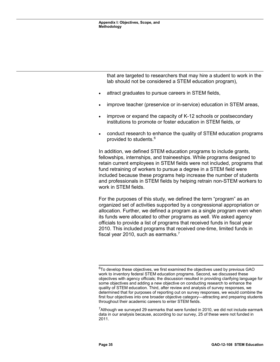that are targeted to researchers that may hire a student to work in the lab should not be considered a STEM education program),

- attract graduates to pursue careers in STEM fields,
- improve teacher (preservice or in-service) education in STEM areas,
- improve or expand the capacity of K-12 schools or postsecondary institutions to promote or foster education in STEM fields, or
- conduct research to enhance the quality of STEM education programs provided to students.[6](#page-39-0)

In addition, we defined STEM education programs to include grants, fellowships, internships, and traineeships. While programs designed to retain current employees in STEM fields were not included, programs that fund retraining of workers to pursue a degree in a STEM field were included because these programs help increase the number of students and professionals in STEM fields by helping retrain non-STEM workers to work in STEM fields.

For the purposes of this study, we defined the term "program" as an organized set of activities supported by a congressional appropriation or allocation. Further, we defined a program as a single program even when its funds were allocated to other programs as well. We asked agency officials to provide a list of programs that received funds in fiscal year 2010. This included programs that received one-time, limited funds in fiscal year 2010, such as earmarks.[7](#page-39-1)

<span id="page-39-0"></span><sup>&</sup>lt;sup>6</sup>To develop these objectives, we first examined the objectives used by previous GAO work to inventory federal STEM education programs. Second, we discussed these objectives with agency officials; the discussion resulted in providing clarifying language for some objectives and adding a new objective on conducting research to enhance the quality of STEM education. Third, after review and analysis of survey responses, we determined that for purposes of reporting out on survey responses, we would combine the first four objectives into one broader objective category—attracting and preparing students throughout their academic careers to enter STEM fields.

<span id="page-39-1"></span> $7$ Although we surveyed 29 earmarks that were funded in 2010, we did not include earmark data in our analysis because, according to our survey, 25 of these were not funded in 2011.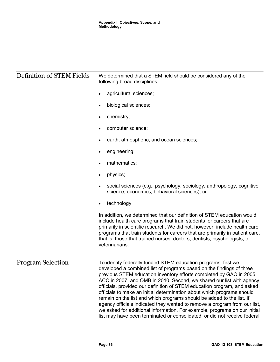| Definition of STEM Fields | We determined that a STEM field should be considered any of the<br>following broad disciplines:                                                                                                                                                                                                                                                                                                                                                                                                                                                                                                                                                                                                                                                            |  |  |
|---------------------------|------------------------------------------------------------------------------------------------------------------------------------------------------------------------------------------------------------------------------------------------------------------------------------------------------------------------------------------------------------------------------------------------------------------------------------------------------------------------------------------------------------------------------------------------------------------------------------------------------------------------------------------------------------------------------------------------------------------------------------------------------------|--|--|
|                           | agricultural sciences;                                                                                                                                                                                                                                                                                                                                                                                                                                                                                                                                                                                                                                                                                                                                     |  |  |
|                           | biological sciences;                                                                                                                                                                                                                                                                                                                                                                                                                                                                                                                                                                                                                                                                                                                                       |  |  |
|                           | chemistry;<br>$\bullet$                                                                                                                                                                                                                                                                                                                                                                                                                                                                                                                                                                                                                                                                                                                                    |  |  |
|                           | computer science;                                                                                                                                                                                                                                                                                                                                                                                                                                                                                                                                                                                                                                                                                                                                          |  |  |
|                           | earth, atmospheric, and ocean sciences;                                                                                                                                                                                                                                                                                                                                                                                                                                                                                                                                                                                                                                                                                                                    |  |  |
|                           | engineering;<br>٠                                                                                                                                                                                                                                                                                                                                                                                                                                                                                                                                                                                                                                                                                                                                          |  |  |
|                           | mathematics;                                                                                                                                                                                                                                                                                                                                                                                                                                                                                                                                                                                                                                                                                                                                               |  |  |
|                           | physics;<br>$\bullet$                                                                                                                                                                                                                                                                                                                                                                                                                                                                                                                                                                                                                                                                                                                                      |  |  |
|                           | social sciences (e.g., psychology, sociology, anthropology, cognitive<br>science, economics, behavioral sciences); or                                                                                                                                                                                                                                                                                                                                                                                                                                                                                                                                                                                                                                      |  |  |
|                           | technology.<br>$\bullet$                                                                                                                                                                                                                                                                                                                                                                                                                                                                                                                                                                                                                                                                                                                                   |  |  |
|                           | In addition, we determined that our definition of STEM education would<br>include health care programs that train students for careers that are<br>primarily in scientific research. We did not, however, include health care<br>programs that train students for careers that are primarily in patient care,<br>that is, those that trained nurses, doctors, dentists, psychologists, or<br>veterinarians.                                                                                                                                                                                                                                                                                                                                                |  |  |
| <b>Program Selection</b>  | To identify federally funded STEM education programs, first we<br>developed a combined list of programs based on the findings of three<br>previous STEM education inventory efforts completed by GAO in 2005,<br>ACC in 2007, and OMB in 2010. Second, we shared our list with agency<br>officials, provided our definition of STEM education program, and asked<br>officials to make an initial determination about which programs should<br>remain on the list and which programs should be added to the list. If<br>agency officials indicated they wanted to remove a program from our list,<br>we asked for additional information. For example, programs on our initial<br>list may have been terminated or consolidated, or did not receive federal |  |  |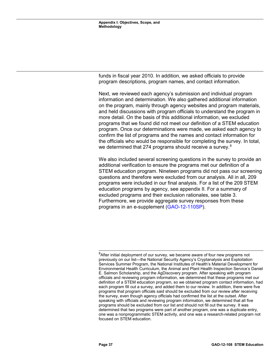funds in fiscal year 2010. In addition, we asked officials to provide program descriptions, program names, and contact information.

Next, we reviewed each agency's submission and individual program information and determination. We also gathered additional information on the program, mainly through agency websites and program materials, and held discussions with program officials to understand the program in more detail. On the basis of this additional information, we excluded programs that we found did not meet our definition of a STEM education program. Once our determinations were made, we asked each agency to confirm the list of programs and the names and contact information for the officials who would be responsible for completing the survey. In total, we determined that 274 programs should receive a survey. $8$ 

We also included several screening questions in the survey to provide an additional verification to ensure the programs met our definition of a STEM education program. Nineteen programs did not pass our screening questions and therefore were excluded from our analysis. All in all, 209 programs were included in our final analysis. For a list of the 209 STEM education programs by agency, see appendix II. For a summary of excluded programs and their exclusion rationales, see table 3. Furthermore, we provide aggregate survey responses from these programs in an e-supplement [\(GAO-12-110SP\)](http://www.gao.gov/products/GAO-12-110SP).

<span id="page-41-0"></span> $8$ After initial deployment of our survey, we became aware of four new programs not previously on our list—the National Security Agency's Cryptanalysis and Exploitation Services Summer Program, the National Institutes of Health's Material Development for Environmental Health Curriculum, the Animal and Plant Health Inspection Service's Daniel E. Salmon Scholarship, and the AgDiscovery program. After speaking with program officials and reviewing program information, we determined that these programs met our definition of a STEM education program, so we obtained program contact information, had each program fill out a survey, and added them to our review. In addition, there were five programs that program officials said should be excluded from our review after receiving the survey, even though agency officials had confirmed the list at the outset. After speaking with officials and reviewing program information, we determined that all five programs should be excluded from our list and should not fill out the survey. It was determined that two programs were part of another program, one was a duplicate entry, one was a nonprogrammatic STEM activity, and one was a research-related program not focused on STEM education.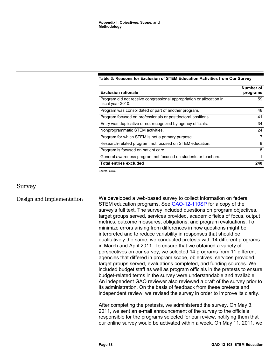| <b>Exclusion rationale</b>                                                                | Number of<br>programs |
|-------------------------------------------------------------------------------------------|-----------------------|
| Program did not receive congressional appropriation or allocation in<br>fiscal year 2010. | 59                    |
| Program was consolidated or part of another program.                                      | 48                    |
| Program focused on professionals or postdoctoral positions.                               | 41                    |
| Entry was duplicative or not recognized by agency officials.                              | 34                    |
| Nonprogrammatic STEM activities.                                                          | 24                    |
| Program for which STEM is not a primary purpose.                                          | 17                    |
| Research-related program, not focused on STEM education.                                  | 8                     |
| Program is focused on patient care.                                                       | 8                     |
| General awareness program not focused on students or teachers.                            | 1                     |
| <b>Total entries excluded</b>                                                             | 240                   |
| Source: GAO.                                                                              |                       |

#### <span id="page-42-0"></span>**Table 3: Reasons for Exclusion of STEM Education Activities from Our Survey**

#### Survey

We developed a web-based survey to collect information on federal STEM education programs. See [GAO-12-110SP](http://www.gao.gov/products/GAO-12-110SP) for a copy of the survey's full text. The survey included questions on program objectives, target groups served, services provided, academic fields of focus, output metrics, outcome measures, obligations, and program evaluations. To minimize errors arising from differences in how questions might be interpreted and to reduce variability in responses that should be qualitatively the same, we conducted pretests with 14 different programs in March and April 2011. To ensure that we obtained a variety of perspectives on our survey, we selected 14 programs from 11 different agencies that differed in program scope, objectives, services provided, target groups served, evaluations completed, and funding sources. We included budget staff as well as program officials in the pretests to ensure budget-related terms in the survey were understandable and available. An independent GAO reviewer also reviewed a draft of the survey prior to its administration. On the basis of feedback from these pretests and independent review, we revised the survey in order to improve its clarity. Design and Implementation

> After completing the pretests, we administered the survey. On May 3, 2011, we sent an e-mail announcement of the survey to the officials responsible for the programs selected for our review, notifying them that our online survey would be activated within a week. On May 11, 2011, we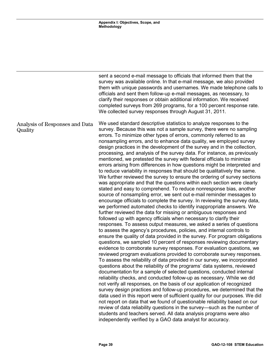|                                           | sent a second e-mail message to officials that informed them that the<br>survey was available online. In that e-mail message, we also provided<br>them with unique passwords and usernames. We made telephone calls to<br>officials and sent them follow-up e-mail messages, as necessary, to<br>clarify their responses or obtain additional information. We received<br>completed surveys from 269 programs, for a 100 percent response rate.<br>We collected survey responses through August 31, 2011.                                                                                                                                                                                                                                                                                                                                                                                                                                                                                                                                                                                                                                                                                                                                                                                                                                                                                                                                                                                                                                                                                                                                                                                                                                                                                                                                                                                                                                                                                                                                                                                                                                                                                                                                                                                                                                                                                                                                                                                                                                                                                     |
|-------------------------------------------|-----------------------------------------------------------------------------------------------------------------------------------------------------------------------------------------------------------------------------------------------------------------------------------------------------------------------------------------------------------------------------------------------------------------------------------------------------------------------------------------------------------------------------------------------------------------------------------------------------------------------------------------------------------------------------------------------------------------------------------------------------------------------------------------------------------------------------------------------------------------------------------------------------------------------------------------------------------------------------------------------------------------------------------------------------------------------------------------------------------------------------------------------------------------------------------------------------------------------------------------------------------------------------------------------------------------------------------------------------------------------------------------------------------------------------------------------------------------------------------------------------------------------------------------------------------------------------------------------------------------------------------------------------------------------------------------------------------------------------------------------------------------------------------------------------------------------------------------------------------------------------------------------------------------------------------------------------------------------------------------------------------------------------------------------------------------------------------------------------------------------------------------------------------------------------------------------------------------------------------------------------------------------------------------------------------------------------------------------------------------------------------------------------------------------------------------------------------------------------------------------------------------------------------------------------------------------------------------------|
| Analysis of Responses and Data<br>Quality | We used standard descriptive statistics to analyze responses to the<br>survey. Because this was not a sample survey, there were no sampling<br>errors. To minimize other types of errors, commonly referred to as<br>nonsampling errors, and to enhance data quality, we employed survey<br>design practices in the development of the survey and in the collection,<br>processing, and analysis of the survey data. For instance, as previously<br>mentioned, we pretested the survey with federal officials to minimize<br>errors arising from differences in how questions might be interpreted and<br>to reduce variability in responses that should be qualitatively the same.<br>We further reviewed the survey to ensure the ordering of survey sections<br>was appropriate and that the questions within each section were clearly<br>stated and easy to comprehend. To reduce nonresponse bias, another<br>source of nonsampling error, we sent out e-mail reminder messages to<br>encourage officials to complete the survey. In reviewing the survey data,<br>we performed automated checks to identify inappropriate answers. We<br>further reviewed the data for missing or ambiguous responses and<br>followed up with agency officials when necessary to clarify their<br>responses. To assess output measures, we asked a series of questions<br>to assess the agency's procedures, policies, and internal controls to<br>ensure the quality of data provided in the survey. For program obligations<br>questions, we sampled 10 percent of responses reviewing documentary<br>evidence to corroborate survey responses. For evaluation questions, we<br>reviewed program evaluations provided to corroborate survey responses.<br>To assess the reliability of data provided in our survey, we incorporated<br>questions about the reliability of the programs' data systems, reviewed<br>documentation for a sample of selected questions, conducted internal<br>reliability checks, and conducted follow-up as necessary. While we did<br>not verify all responses, on the basis of our application of recognized<br>survey design practices and follow-up procedures, we determined that the<br>data used in this report were of sufficient quality for our purposes. We did<br>not report on data that we found of questionable reliability based on our<br>review of data reliability questions in the survey-such as the number of<br>students and teachers served. All data analysis programs were also<br>independently verified by a GAO data analyst for accuracy. |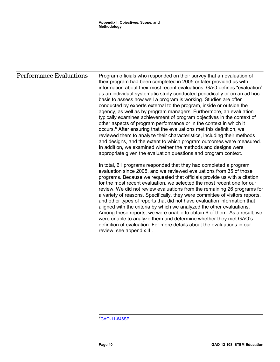#### Performance Evaluations

Program officials who responded on their survey that an evaluation of their program had been completed in 2005 or later provided us with information about their most recent evaluations. GAO defines "evaluation" as an individual systematic study conducted periodically or on an ad hoc basis to assess how well a program is working. Studies are often conducted by experts external to the program, inside or outside the agency, as well as by program managers. Furthermore, an evaluation typically examines achievement of program objectives in the context of other aspects of program performance or in the context in which it occurs.<sup>[9](#page-44-0)</sup> After ensuring that the evaluations met this definition, we reviewed them to analyze their characteristics, including their methods and designs, and the extent to which program outcomes were measured. In addition, we examined whether the methods and designs were appropriate given the evaluation questions and program context.

In total, 61 programs responded that they had completed a program evaluation since 2005, and we reviewed evaluations from 35 of those programs. Because we requested that officials provide us with a citation for the most recent evaluation, we selected the most recent one for our review. We did not review evaluations from the remaining 26 programs for a variety of reasons. Specifically, they were committee of visitors reports, and other types of reports that did not have evaluation information that aligned with the criteria by which we analyzed the other evaluations. Among these reports, we were unable to obtain 6 of them. As a result, we were unable to analyze them and determine whether they met GAO's definition of evaluation. For more details about the evaluations in our review, see appendix III.

<span id="page-44-0"></span><sup>&</sup>lt;mark>9</mark><br>[GAO-11-646SP.](http://www.gao.gov/products/GAO-11-646SP)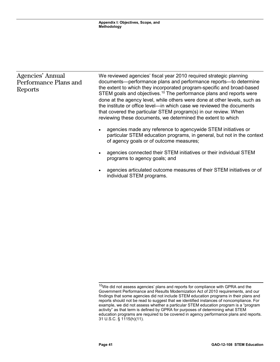| Agencies' Annual<br>Performance Plans and<br>Reports | We reviewed agencies' fiscal year 2010 required strategic planning<br>documents—performance plans and performance reports—to determine<br>the extent to which they incorporated program-specific and broad-based<br>STEM goals and objectives. <sup>10</sup> The performance plans and reports were<br>done at the agency level, while others were done at other levels, such as<br>the institute or office level—in which case we reviewed the documents<br>that covered the particular STEM program(s) in our review. When<br>reviewing these documents, we determined the extent to which |
|------------------------------------------------------|----------------------------------------------------------------------------------------------------------------------------------------------------------------------------------------------------------------------------------------------------------------------------------------------------------------------------------------------------------------------------------------------------------------------------------------------------------------------------------------------------------------------------------------------------------------------------------------------|
|                                                      | agencies made any reference to agencywide STEM initiatives or<br>$\bullet$<br>particular STEM education programs, in general, but not in the context<br>of agency goals or of outcome measures;                                                                                                                                                                                                                                                                                                                                                                                              |
|                                                      | agencies connected their STEM initiatives or their individual STEM<br>$\bullet$<br>programs to agency goals; and                                                                                                                                                                                                                                                                                                                                                                                                                                                                             |
|                                                      | agencies articulated outcome measures of their STEM initiatives or of<br>$\bullet$<br>individual STEM programs.                                                                                                                                                                                                                                                                                                                                                                                                                                                                              |

<span id="page-45-0"></span> $\overline{a}$  $10$ We did not assess agencies' plans and reports for compliance with GPRA and the Government Performance and Results Modernization Act of 2010 requirements, and our findings that some agencies did not include STEM education programs in their plans and reports should not be read to suggest that we identified instances of noncompliance. For example, we did not assess whether a particular STEM education program is a "program activity" as that term is defined by GPRA for purposes of determining what STEM education programs are required to be covered in agency performance plans and reports. 31 U.S.C. § 1115(h)(11).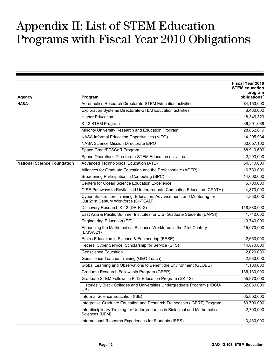### <span id="page-46-0"></span> $\mathcal{A}$  of CIND III  $\mathbf{I}$ . Appendix II: List of STEM Education Programs with Fiscal Year 2010 Obligations

|                                    |                                                                                                                 | Fiscal Year 2010<br><b>STEM education</b> |
|------------------------------------|-----------------------------------------------------------------------------------------------------------------|-------------------------------------------|
| <b>Agency</b>                      | Program                                                                                                         | program<br>obligations <sup>a</sup>       |
| <b>NASA</b>                        | Aeronautics Research Directorate-STEM Education activities                                                      | \$4,153,000                               |
|                                    | <b>Exploration Systems Directorate-STEM Education activities</b>                                                | 6,400,000                                 |
|                                    | <b>Higher Education</b>                                                                                         | 18,346,329                                |
|                                    | K-12 STEM Program                                                                                               | 36,291,069                                |
|                                    | Minority University Research and Education Program                                                              | 28,862,619                                |
|                                    | NASA Informal Education Opportunities (NIEO)                                                                    | 14,295,934                                |
|                                    | NASA Science Mission Directorate E/PO                                                                           | 30,057,100                                |
|                                    | Space Grant/EPSCoR Program                                                                                      | 68,910,696                                |
|                                    | Space Operations Directorate-STEM Education activities                                                          | 2,293,000                                 |
| <b>National Science Foundation</b> | Advanced Technological Education (ATE)                                                                          | 64,510,000                                |
|                                    | Alliances for Graduate Education and the Professoriate (AGEP)                                                   | 16,730,000                                |
|                                    | Broadening Participation in Computing (BPC)                                                                     | 14,000,000                                |
|                                    | Centers for Ocean Science Education Excellence                                                                  | 5,700,000                                 |
|                                    | CISE Pathways to Revitalized Undergraduate Computing Education (CPATH)                                          | 4,370,000                                 |
|                                    | Cyberinfrastructure Training, Education, Advancement, and Mentoring for<br>Our 21st Century Workforce (CI-TEAM) | 4,850,000                                 |
|                                    | Discovery Research K-12 (DR-K12)                                                                                | 118,380,000                               |
|                                    | East Asia & Pacific Summer Institutes for U.S. Graduate Students (EAPSI)                                        | 1,740,000                                 |
|                                    | Engineering Education (EE)                                                                                      | 13,740,000                                |
|                                    | Enhancing the Mathematical Sciences Workforce in the 21st Century<br>(EMSW21)                                   | 15,070,000                                |
|                                    | Ethics Education in Science & Engineering (EESE)                                                                | 2,650,000                                 |
|                                    | Federal Cyber Service: Scholarship for Service (SFS)                                                            | 14,870,000                                |
|                                    | <b>Geoscience Education</b>                                                                                     | 2,020,000                                 |
|                                    | Geoscience Teacher Training (GEO-Teach)                                                                         | 2,980,000                                 |
|                                    | Global Learning and Observations to Benefit the Environment (GLOBE)                                             | 1,100,000                                 |
|                                    | Graduate Research Fellowship Program (GRFP)                                                                     | 136,130,000                               |
|                                    | Graduate STEM Fellows in K-12 Education Program (GK-12)                                                         | 55,970,000                                |
|                                    | Historically Black Colleges and Universities Undergraduate Program (HBCU-<br>UP)                                | 32,060,000                                |
|                                    | Informal Science Education (ISE)                                                                                | 65,850,000                                |
|                                    | Integrative Graduate Education and Research Traineeship (IGERT) Program                                         | 69,700,000                                |
|                                    | Interdisciplinary Training for Undergraduates in Biological and Mathematical<br>Sciences (UBM)                  | 2,700,000                                 |
|                                    | International Research Experiences for Students (IRES)                                                          | 3,430,000                                 |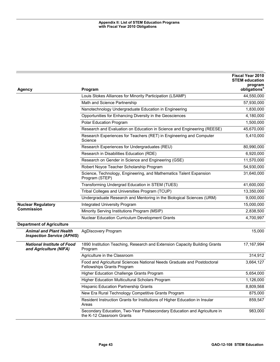|                                                                     |                                                                                                       | Fiscal Year 2010<br><b>STEM education</b><br>program |
|---------------------------------------------------------------------|-------------------------------------------------------------------------------------------------------|------------------------------------------------------|
| Agency                                                              | Program                                                                                               | obligations <sup>a</sup>                             |
|                                                                     | Louis Stokes Alliances for Minority Participation (LSAMP)                                             | 44,550,000                                           |
|                                                                     | Math and Science Partnership                                                                          | 57,930,000                                           |
|                                                                     | Nanotechnology Undergraduate Education in Engineering                                                 | 1,830,000                                            |
|                                                                     | Opportunities for Enhancing Diversity in the Geosciences                                              | 4,180,000                                            |
|                                                                     | Polar Education Program                                                                               | 1,500,000                                            |
|                                                                     | Research and Evaluation on Education in Science and Engineering (REESE)                               | 45,670,000                                           |
|                                                                     | Research Experiences for Teachers (RET) in Engineering and Computer<br>Science                        | 5,410,000                                            |
|                                                                     | Research Experiences for Undergraduates (REU)                                                         | 80,990,000                                           |
|                                                                     | Research in Disabilities Education (RDE)                                                              | 6,920,000                                            |
|                                                                     | Research on Gender in Science and Engineering (GSE)                                                   | 11,570,000                                           |
|                                                                     | Robert Noyce Teacher Scholarship Program                                                              | 54,930,000                                           |
|                                                                     | Science, Technology, Engineering, and Mathematics Talent Expansion<br>Program (STEP)                  | 31,640,000                                           |
|                                                                     | Transforming Undergrad Education in STEM (TUES)                                                       | 41,600,000                                           |
|                                                                     | Tribal Colleges and Universities Program (TCUP)                                                       | 13,350,000                                           |
|                                                                     | Undergraduate Research and Mentoring in the Biological Sciences (URM)                                 | 9,000,000                                            |
| <b>Nuclear Regulatory</b>                                           | <b>Integrated University Program</b>                                                                  | 15,000,000                                           |
| <b>Commission</b>                                                   | Minority Serving Institutions Program (MSIP)                                                          | 2,838,500                                            |
|                                                                     | Nuclear Education Curriculum Development Grants                                                       | 4,700,997                                            |
| <b>Department of Agriculture</b>                                    |                                                                                                       |                                                      |
| <b>Animal and Plant Health</b><br><b>Inspection Service (APHIS)</b> | AgDiscovery Program                                                                                   | 15,000                                               |
| <b>National Institute of Food</b><br>and Agriculture (NIFA)         | 1890 Institution Teaching, Research and Extension Capacity Building Grants<br>Program                 | 17, 167, 994                                         |
|                                                                     | Agriculture in the Classroom                                                                          | 314,912                                              |
|                                                                     | Food and Agricultural Sciences National Needs Graduate and Postdoctoral<br>Fellowships Grants Program | 3,664,127                                            |
|                                                                     | Higher Education Challenge Grants Program                                                             | 5,654,000                                            |
|                                                                     | Higher Education Multicultural Scholars Program                                                       | 1,126,000                                            |
|                                                                     | Hispanic Education Partnership Grants                                                                 | 8,809,568                                            |
|                                                                     | New Era Rural Technology Competitive Grants Program                                                   | 875,000                                              |
|                                                                     | Resident Instruction Grants for Institutions of Higher Education in Insular<br>Areas                  | 859,547                                              |
|                                                                     | Secondary Education, Two-Year Postsecondary Education and Agriculture in<br>the K-12 Classroom Grants | 983,000                                              |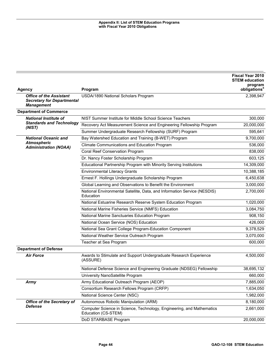|                                                                                          |                                                                                              | Fiscal Year 2010<br><b>STEM education</b><br>program |
|------------------------------------------------------------------------------------------|----------------------------------------------------------------------------------------------|------------------------------------------------------|
| <b>Agency</b>                                                                            | Program                                                                                      | obligations <sup>a</sup>                             |
| <b>Office of the Assistant</b><br><b>Secretary for Departmental</b><br><b>Management</b> | USDA/1890 National Scholars Program                                                          | 2,398,947                                            |
| <b>Department of Commerce</b>                                                            |                                                                                              |                                                      |
| <b>National Institute of</b>                                                             | NIST Summer Institute for Middle School Science Teachers                                     | 300,000                                              |
| <b>Standards and Technology</b><br>(NIST)                                                | Recovery Act Measurement Science and Engineering Fellowship Program                          | 20,000,000                                           |
|                                                                                          | Summer Undergraduate Research Fellowship (SURF) Program                                      | 595,641                                              |
| <b>National Oceanic and</b>                                                              | Bay Watershed Education and Training (B-WET) Program                                         | 9,700,000                                            |
| <b>Atmospheric</b>                                                                       | Climate Communications and Education Program                                                 | 536,000                                              |
| <b>Administration (NOAA)</b>                                                             | Coral Reef Conservation Program                                                              | 838,000                                              |
|                                                                                          | Dr. Nancy Foster Scholarship Program                                                         | 603,125                                              |
|                                                                                          | Educational Partnership Program with Minority Serving Institutions                           | 14,309,000                                           |
|                                                                                          | <b>Environmental Literacy Grants</b>                                                         | 10,388,185                                           |
|                                                                                          | Ernest F. Hollings Undergraduate Scholarship Program                                         | 6,450,638                                            |
|                                                                                          | Global Learning and Observations to Benefit the Environment                                  | 3,000,000                                            |
|                                                                                          | National Environmental Satellite, Data, and Information Service (NESDIS)<br>Education        | 2,700,000                                            |
|                                                                                          | National Estuarine Research Reserve System Education Program                                 | 1,020,000                                            |
|                                                                                          | National Marine Fisheries Service (NMFS) Education                                           | 3,084,750                                            |
|                                                                                          | National Marine Sanctuaries Education Program                                                | 908,150                                              |
|                                                                                          | National Ocean Service (NOS) Education                                                       | 426,000                                              |
|                                                                                          | National Sea Grant College Program-Education Component                                       | 9,378,529                                            |
|                                                                                          | National Weather Service Outreach Program                                                    | 3,070,000                                            |
|                                                                                          | Teacher at Sea Program                                                                       | 600,000                                              |
| <b>Department of Defense</b>                                                             |                                                                                              |                                                      |
| <b>Air Force</b>                                                                         | Awards to Stimulate and Support Undergraduate Research Experience<br>(ASSURE)                | 4,500,000                                            |
|                                                                                          | National Defense Science and Engineering Graduate (NDSEG) Fellowship                         | 38,695,132                                           |
|                                                                                          | University NanoSatellite Program                                                             | 660,000                                              |
| Army                                                                                     | Army Educational Outreach Program (AEOP)                                                     | 7,885,000                                            |
|                                                                                          | Consortium Research Fellows Program (CRFP)                                                   | 1,634,050                                            |
|                                                                                          | National Science Center (NSC)                                                                | 1,982,000                                            |
| <b>Office of the Secretary of</b>                                                        | Autonomous Robotic Manipulation (ARM)                                                        | 8,180,000                                            |
| <b>Defense</b>                                                                           | Computer Science in Science, Technology, Engineering, and Mathematics<br>Education (CS-STEM) | 2,661,000                                            |
|                                                                                          | DoD STARBASE Program                                                                         | 20,000,000                                           |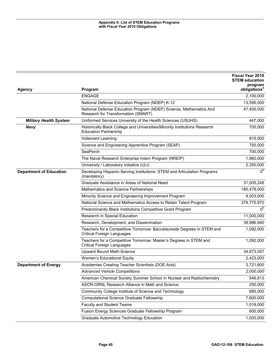|                                |                                                                                                             | <b>Fiscal Year 2010</b><br><b>STEM education</b> |
|--------------------------------|-------------------------------------------------------------------------------------------------------------|--------------------------------------------------|
| <b>Agency</b>                  | Program                                                                                                     | program<br>obligations <sup>a</sup>              |
|                                | <b>ENGAGE</b>                                                                                               | 2,100,000                                        |
|                                | National Defense Education Program (NDEP) K-12                                                              | 13,595,000                                       |
|                                | National Defense Education Program (NDEP) Science, Mathematics And<br>Research for Transformation (SMART)   | 47,400,000                                       |
| <b>Military Health System</b>  | Uniformed Services University of the Health Sciences (USUHS)                                                | 447,000                                          |
| <b>Navy</b>                    | Historically Black College and Universities/Minority Institutions Research<br><b>Education Partnership</b>  | 700,000                                          |
|                                | <b>Iridescent Learning</b>                                                                                  | 810,000                                          |
|                                | Science and Engineering Apprentice Program (SEAP)                                                           | 755,000                                          |
|                                | SeaPerch                                                                                                    | 700,000                                          |
|                                | The Naval Research Enterprise Intern Program (NREIP)                                                        | 1,960,000                                        |
|                                | University / Laboratory Initiative (ULI)                                                                    | 2,350,000                                        |
| <b>Department of Education</b> | Developing Hispanic-Serving Institutions: STEM and Articulation Programs<br>(mandatory)                     | 0 <sub>p</sub>                                   |
|                                | Graduate Assistance in Areas of National Need                                                               | 31,005,248                                       |
|                                | Mathematics and Science Partnerships                                                                        | 180,478,000                                      |
|                                | Minority Science and Engineering Improvement Program                                                        | 9,503,000                                        |
|                                | National Science and Mathematics Access to Retain Talent Program                                            | 379,775,972                                      |
|                                | Predominantly Black Institutions Competitive Grant Program                                                  | 0 <sub>p</sub>                                   |
|                                | Research in Special Education                                                                               | 11,000,000                                       |
|                                | Research, Development, and Dissemination                                                                    | 39,986,940                                       |
|                                | Teachers for a Competitive Tomorrow: Baccalaureate Degrees in STEM and<br><b>Critical Foreign Languages</b> | 1,092,000                                        |
|                                | Teachers for a Competitive Tomorrow: Master's Degrees in STEM and<br><b>Critical Foreign Languages</b>      | 1,092,000                                        |
|                                | Upward Bound Math-Science                                                                                   | 34,873,057                                       |
|                                | Women's Educational Equity                                                                                  | 2,423,000                                        |
| <b>Department of Energy</b>    | Academies Creating Teacher Scientists (DOE Acts)                                                            | 3,721,600                                        |
|                                | <b>Advanced Vehicle Competitions</b>                                                                        | 2,000,000                                        |
|                                | American Chemical Society Summer School in Nuclear and Radiochemistry                                       | 546,813                                          |
|                                | ASCR-ORNL Research Alliance in Math and Science                                                             | 250,000                                          |
|                                | Community College Institute of Science and Technology                                                       | 685,000                                          |
|                                | <b>Computational Science Graduate Fellowship</b>                                                            | 7,800,000                                        |
|                                | Faculty and Student Teams                                                                                   | 1,019,000                                        |
|                                | Fusion Energy Sciences Graduate Fellowship Program                                                          | 800,000                                          |
|                                | Graduate Automotive Technology Education                                                                    | 1,000,000                                        |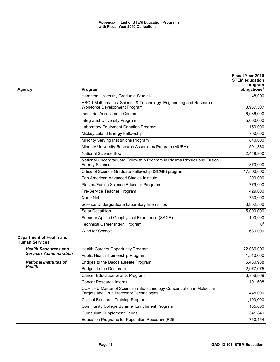|                                                          |                                                                                                                  | <b>Fiscal Year 2010</b><br><b>STEM education</b> |
|----------------------------------------------------------|------------------------------------------------------------------------------------------------------------------|--------------------------------------------------|
| <b>Agency</b>                                            | Program                                                                                                          | program<br>obligations <sup>a</sup>              |
|                                                          | Hampton University Graduate Studies                                                                              | 48,000                                           |
|                                                          | HBCU Mathematics, Science & Technology, Engineering and Research<br>Workforce Development Program                | 8,967,507                                        |
|                                                          | <b>Industrial Assessment Centers</b>                                                                             | 6,086,000                                        |
|                                                          | Integrated University Program                                                                                    | 5,000,000                                        |
|                                                          | Laboratory Equipment Donation Program                                                                            | 150,000                                          |
|                                                          | Mickey Leland Energy Fellowship                                                                                  | 700,000                                          |
|                                                          | Minority Serving Institutions Program                                                                            | 840,000                                          |
|                                                          | Minority University Research Associates Program (MURA)                                                           | 591,880                                          |
|                                                          | <b>National Science Bowl</b>                                                                                     | 2,449,900                                        |
|                                                          | National Undergraduate Fellowship Program in Plasma Physics and Fusion<br>Energy Sciences                        | 370,000                                          |
|                                                          | Office of Science Graduate Fellowship (SCGF) program                                                             | 17,500,000                                       |
|                                                          | Pan American Advanced Studies Institute                                                                          | 200,000                                          |
|                                                          | Plasma/Fusion Science Educator Programs                                                                          | 779,000                                          |
|                                                          | Pre-Service Teacher Program                                                                                      | 429,000                                          |
|                                                          | QuarkNet                                                                                                         | 750,000                                          |
|                                                          | Science Undergraduate Laboratory Internships                                                                     | 3,802,500                                        |
|                                                          | Solar Decathlon                                                                                                  | 5,000,000                                        |
|                                                          | Summer Applied Geophysical Experience (SAGE)                                                                     | 100,000                                          |
|                                                          | Technical Career Intern Program                                                                                  | 0 <sup>c</sup>                                   |
|                                                          | Wind for Schools                                                                                                 | 630,000                                          |
| <b>Department of Health and</b><br><b>Human Services</b> |                                                                                                                  |                                                  |
| <b>Health Resources and</b>                              | Health Careers Opportunity Program                                                                               | 22,086,000                                       |
| <b>Services Administration</b>                           | Public Health Traineeship Program                                                                                | 1,510,000                                        |
| <b>National Institutes of</b>                            | Bridges to the Baccalaureate Program                                                                             | 6,460,988                                        |
| Health                                                   | Bridges to the Doctorate                                                                                         | 2,977,075                                        |
|                                                          | <b>Cancer Education Grants Program</b>                                                                           | 6,756,869                                        |
|                                                          | <b>Cancer Research Interns</b>                                                                                   | 191,608                                          |
|                                                          | CCR/JHU Master of Science in Biotechnology Concentration in Molecular<br>Targets and Drug Discovery Technologies | 445,000                                          |
|                                                          | <b>Clinical Research Training Program</b>                                                                        | 1,100,000                                        |
|                                                          | Community College Summer Enrichment Program                                                                      | 105,000                                          |
|                                                          | <b>Curriculum Supplement Series</b>                                                                              | 341,849                                          |
|                                                          | Education Programs for Population Research (R25)                                                                 | 750,154                                          |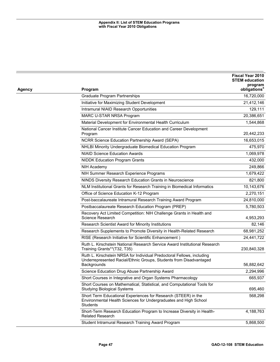|        |                                                                                                                                                             | Fiscal Year 2010<br><b>STEM education</b><br>program |
|--------|-------------------------------------------------------------------------------------------------------------------------------------------------------------|------------------------------------------------------|
| Agency | Program                                                                                                                                                     | obligations <sup>a</sup>                             |
|        | <b>Graduate Program Partnerships</b>                                                                                                                        | 16,720,000                                           |
|        | Initiative for Maximizing Student Development                                                                                                               | 21,412,146                                           |
|        | Intramural NIAID Research Opportunities                                                                                                                     | 129,111                                              |
|        | MARC U-STAR NRSA Program                                                                                                                                    | 20,386,651                                           |
|        | Material Development for Environmental Health Curriculum                                                                                                    | 1,544,868                                            |
|        | National Cancer Institute Cancer Education and Career Development<br>Program                                                                                | 20,442,233                                           |
|        | NCRR Science Education Partnership Award (SEPA)                                                                                                             | 16,653,015                                           |
|        | NHLBI Minority Undergraduate Biomedical Education Program                                                                                                   | 475,970                                              |
|        | <b>NIAID Science Education Awards</b>                                                                                                                       | 1,069,978                                            |
|        | <b>NIDDK Education Program Grants</b>                                                                                                                       | 432,000                                              |
|        | NIH Academy                                                                                                                                                 | 249,866                                              |
|        | NIH Summer Research Experience Programs                                                                                                                     | 1,679,422                                            |
|        | NINDS Diversity Research Education Grants in Neuroscience                                                                                                   | 821,800                                              |
|        | NLM Institutional Grants for Research Training in Biomedical Informatics                                                                                    | 10,143,676                                           |
|        | Office of Science Education K-12 Program                                                                                                                    | 2,270,151                                            |
|        | Post-baccalaureate Intramural Research Training Award Program                                                                                               | 24,810,000                                           |
|        | Postbaccalaureate Research Education Program (PREP)                                                                                                         | 5,780,503                                            |
|        | Recovery Act Limited Competition: NIH Challenge Grants in Health and<br>Science Research                                                                    | 4,953,293                                            |
|        | Research Scientist Award for Minority Institutions                                                                                                          | 82,146                                               |
|        | Research Supplements to Promote Diversity in Health-Related Research                                                                                        | 68,981,252                                           |
|        | RISE (Research Initiative for Scientific Enhancement)                                                                                                       | 24,441,722                                           |
|        | Ruth L. Kirschstein National Research Service Award Institutional Research<br>Training Grants**(T32, T35)                                                   | 230,840,328                                          |
|        | Ruth L. Kirschstein NRSA for Individual Predoctoral Fellows, including<br>Underrepresented Racial/Ethnic Groups, Students from Disadvantaged<br>Backgrounds | 56,882,642                                           |
|        | Science Education Drug Abuse Partnership Award                                                                                                              | 2,294,996                                            |
|        | Short Courses in Integrative and Organ Systems Pharmacology                                                                                                 | 665,937                                              |
|        | Short Courses on Mathematical, Statistical, and Computational Tools for<br><b>Studying Biological Systems</b>                                               | 695,460                                              |
|        | Short Term Educational Experiences for Research (STEER) in the<br>Environmental Health Sciences for Undergraduates and High School<br><b>Students</b>       | 568,298                                              |
|        | Short-Term Research Education Program to Increase Diversity in Health-<br><b>Related Research</b>                                                           | 4,188,763                                            |
|        | Student Intramural Research Training Award Program                                                                                                          | 5,868,500                                            |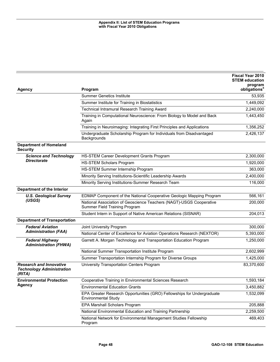|                                                                              |                                                                                                      | Fiscal Year 2010<br><b>STEM education</b><br>program |
|------------------------------------------------------------------------------|------------------------------------------------------------------------------------------------------|------------------------------------------------------|
| <b>Agency</b>                                                                | Program                                                                                              | obligations <sup>a</sup>                             |
|                                                                              | <b>Summer Genetics Institute</b>                                                                     | 53,935                                               |
|                                                                              | Summer Institute for Training in Biostatistics                                                       | 1,449,092                                            |
|                                                                              | Technical Intramural Research Training Award                                                         | 2,240,000                                            |
|                                                                              | Training in Computational Neuroscience: From Biology to Model and Back<br>Again                      | 1,443,450                                            |
|                                                                              | Training in Neuroimaging: Integrating First Principles and Applications                              | 1,356,252                                            |
|                                                                              | Undergraduate Scholarship Program for Individuals from Disadvantaged<br>Backgrounds                  | 2,426,137                                            |
| <b>Department of Homeland</b><br><b>Security</b>                             |                                                                                                      |                                                      |
| <b>Science and Technology</b>                                                | HS-STEM Career Development Grants Program                                                            | 2,300,000                                            |
| <b>Directorate</b>                                                           | <b>HS-STEM Scholars Program</b>                                                                      | 1,920,000                                            |
|                                                                              | HS-STEM Summer Internship Program                                                                    | 363,000                                              |
|                                                                              | Minority Serving Institutions-Scientific Leadership Awards                                           | 2,400,000                                            |
|                                                                              | Minority Serving Institutions-Summer Research Team                                                   | 116,000                                              |
| Department of the Interior                                                   |                                                                                                      |                                                      |
| <b>U.S. Geological Survey</b>                                                | EDMAP Component of the National Cooperative Geologic Mapping Program                                 | 566,161                                              |
| (USGS)                                                                       | National Association of Geoscience Teachers (NAGT)-USGS Cooperative<br>Summer Field Training Program | 200,000                                              |
|                                                                              | Student Intern in Support of Native American Relations (SISNAR)                                      | 204,013                                              |
| <b>Department of Transportation</b>                                          |                                                                                                      |                                                      |
| <b>Federal Aviation</b>                                                      | Joint University Program                                                                             | 300,000                                              |
| <b>Administration (FAA)</b>                                                  | National Center of Excellence for Aviation Operations Research (NEXTOR)                              | 5,393,000                                            |
| <b>Federal Highway</b><br><b>Administration (FHWA)</b>                       | Garrett A. Morgan Technology and Transportation Education Program                                    | 1,250,000                                            |
|                                                                              | National Summer Transportation Institute Program                                                     | 2,602,999                                            |
|                                                                              | Summer Transportation Internship Program for Diverse Groups                                          | 1,425,000                                            |
| <b>Research and Innovative</b><br><b>Technology Administration</b><br>(RITA) | University Transportation Centers Program                                                            | 83,370,600                                           |
| <b>Environmental Protection</b>                                              | Cooperative Training in Environmental Sciences Research                                              | 1,593,184                                            |
| <b>Agency</b>                                                                | <b>Environmental Education Grants</b>                                                                | 3,450,882                                            |
|                                                                              | EPA Greater Research Opportunities (GRO) Fellowships for Undergraduate<br><b>Environmental Study</b> | 1,532,099                                            |
|                                                                              | EPA Marshall Scholars Program                                                                        | 205,888                                              |
|                                                                              | National Environmental Education and Training Partnership                                            | 2,259,500                                            |
|                                                                              | National Network for Environmental Management Studies Fellowship<br>Program                          | 469,403                                              |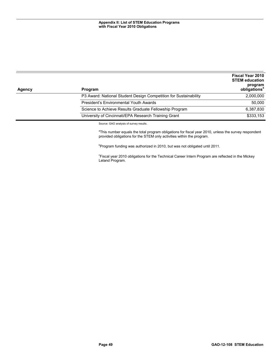| Agency | Program                                                          | <b>Fiscal Year 2010</b><br><b>STEM education</b><br>program<br>obligations <sup>a</sup> |
|--------|------------------------------------------------------------------|-----------------------------------------------------------------------------------------|
|        | P3 Award: National Student Design Competition for Sustainability | 2,000,000                                                                               |
|        | President's Environmental Youth Awards                           | 50,000                                                                                  |
|        | Science to Achieve Results Graduate Fellowship Program           | 6.387.830                                                                               |
|        | University of Cincinnati/EPA Research Training Grant             | \$333,153                                                                               |

Source: GAO analysis of survey results.

<sup>a</sup>This number equals the total program obligations for fiscal year 2010, unless the survey respondent provided obligations for the STEM only activities within the program.

<sup>b</sup>Program funding was authorized in 2010, but was not obligated until 2011.

<sup>c</sup>Fiscal year 2010 obligations for the Technical Career Intern Program are reflected in the Mickey Leland Program.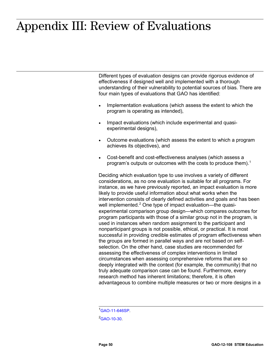## <span id="page-54-0"></span>**Appendix III: Review of Evaluations** Appendix III: Review of Evaluations

Different types of evaluation designs can provide rigorous evidence of effectiveness if designed well and implemented with a thorough understanding of their vulnerability to potential sources of bias. There are four main types of evaluations that GAO has identified:

- Implementation evaluations (which assess the extent to which the program is operating as intended),
- Impact evaluations (which include experimental and quasiexperimental designs),
- Outcome evaluations (which assess the extent to which a program achieves its objectives), and
- Cost-benefit and cost-effectiveness analyses (which assess a program's outputs or outcomes with the costs to produce them).<sup>[1](#page-54-1)</sup>

Deciding which evaluation type to use involves a variety of different considerations, as no one evaluation is suitable for all programs. For instance, as we have previously reported, an impact evaluation is more likely to provide useful information about what works when the intervention consists of clearly defined activities and goals and has been well implemented.<sup>[2](#page-54-2)</sup> One type of impact evaluation—the quasiexperimental comparison group design—which compares outcomes for program participants with those of a similar group not in the program, is used in instances when random assignment to the participant and nonparticipant groups is not possible, ethical, or practical. It is most successful in providing credible estimates of program effectiveness when the groups are formed in parallel ways and are not based on selfselection. On the other hand, case studies are recommended for assessing the effectiveness of complex interventions in limited circumstances when assessing comprehensive reforms that are so deeply integrated with the context (for example, the community) that no truly adequate comparison case can be found. Furthermore, every research method has inherent limitations; therefore, it is often advantageous to combine multiple measures or two or more designs in a

1 [GAO-11-646SP.](http://www.gao.gov/products/GAO-11-646SP)

<span id="page-54-2"></span><span id="page-54-1"></span><sup>2</sup>[GAO-10-30.](http://www.gao.gov/products/GAO-10-30)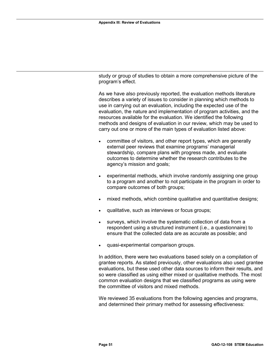study or group of studies to obtain a more comprehensive picture of the program's effect.

As we have also previously reported, the evaluation methods literature describes a variety of issues to consider in planning which methods to use in carrying out an evaluation, including the expected use of the evaluation, the nature and implementation of program activities, and the resources available for the evaluation. We identified the following methods and designs of evaluation in our review, which may be used to carry out one or more of the main types of evaluation listed above:

- committee of visitors, and other report types, which are generally external peer reviews that examine programs' managerial stewardship, compare plans with progress made, and evaluate outcomes to determine whether the research contributes to the agency's mission and goals;
- experimental methods, which involve randomly assigning one group to a program and another to not participate in the program in order to compare outcomes of both groups;
- mixed methods, which combine qualitative and quantitative designs;
- qualitative, such as interviews or focus groups;
- surveys, which involve the systematic collection of data from a respondent using a structured instrument (i.e., a questionnaire) to ensure that the collected data are as accurate as possible; and
- quasi-experimental comparison groups.

In addition, there were two evaluations based solely on a compilation of grantee reports. As stated previously, other evaluations also used grantee evaluations, but these used other data sources to inform their results, and so were classified as using either mixed or qualitative methods. The most common evaluation designs that we classified programs as using were the committee of visitors and mixed methods.

We reviewed 35 evaluations from the following agencies and programs, and determined their primary method for assessing effectiveness: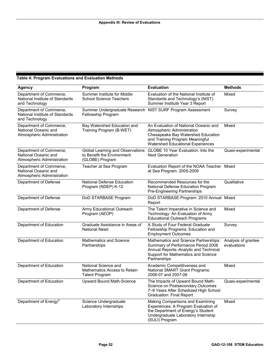#### <span id="page-56-0"></span>**Table 4: Program Evaluations and Evaluation Methods**

| <b>Agency</b>                                                                 | Program                                                                           | <b>Evaluation</b>                                                                                                                                                                 | <b>Methods</b>                     |
|-------------------------------------------------------------------------------|-----------------------------------------------------------------------------------|-----------------------------------------------------------------------------------------------------------------------------------------------------------------------------------|------------------------------------|
| Department of Commerce,<br>National Institute of Standards<br>and Technology  | Summer Institute for Middle<br><b>School Science Teachers</b>                     | Evaluation of the National Institute of<br>Standards and Technology's (NIST)<br>Summer Institute Year 3 Report                                                                    | Mixed                              |
| Department of Commerce,<br>National Institute of Standards<br>and Technology  | Fellowship Program                                                                | Summer Undergraduate Research NIST SURF Program Assessment                                                                                                                        | Survey                             |
| Department of Commerce,<br>National Oceanic and<br>Atmospheric Administration | Bay Watershed Education and<br>Training Program (B-WET)                           | An Evaluation of National Oceanic and<br>Atmospheric Administration<br>Chesapeake Bay Watershed Education<br>and Training Program Meaningful<br>Watershed Educational Experiences | Mixed                              |
| Department of Commerce,<br>National Oceanic and<br>Atmospheric Administration | Global Learning and Observations<br>to Benefit the Environment<br>(GLOBE) Program | GLOBE 10 Year Evaluation: Into the<br><b>Next Generation</b>                                                                                                                      | Quasi-experimental                 |
| Department of Commerce,<br>National Oceanic and<br>Atmospheric Administration | Teacher at Sea Program                                                            | Evaluation Report of the NOAA Teacher Mixed<br>at Sea Program: 2005-2009                                                                                                          |                                    |
| Department of Defense                                                         | National Defense Education<br>Program (NDEP) K-12                                 | Recommended Resources for the<br>National Defense Education Program<br>Pre-Engineering Partnerships                                                                               | Qualitative                        |
| Department of Defense                                                         | DoD STARBASE Program                                                              | DoD STARBASE Program: 2010 Annual Mixed<br>Report                                                                                                                                 |                                    |
| Department of Defense                                                         | Army Educational Outreach<br>Program (AEOP)                                       | The Talent Imperative in Science and<br>Technology: An Evaluation of Army<br><b>Educational Outreach Programs</b>                                                                 | Mixed                              |
| Department of Education                                                       | Graduate Assistance in Areas of<br><b>National Need</b>                           | A Study of Four Federal Graduate<br>Fellowship Programs: Education and<br><b>Employment Outcomes</b>                                                                              | Survey                             |
| Department of Education                                                       | <b>Mathematics and Science</b><br>Partnerships                                    | Mathematics and Science Partnerships:<br>Summary of Performance Period 2008<br>Annual Reports-Analytic and Technical<br>Support for Mathematics and Science<br>Partnerships       | Analysis of grantee<br>evaluations |
| Department of Education                                                       | National Science and<br>Mathematics Access to Retain<br><b>Talent Program</b>     | Academic Competitiveness and<br>National SMART Grant Programs:<br>2006-07 and 2007-08                                                                                             | Mixed                              |
| Department of Education                                                       | Upward Bound Math-Science                                                         | The Impacts of Upward Bound Math-<br>Science on Postsecondary Outcomes<br>7-9 Years After Scheduled High School<br>Graduation: Final Report                                       | Quasi-experimental                 |
| Department of Energy <sup>a</sup>                                             | Science Undergraduate<br>Laboratory Internships                                   | Making Comparisons and Examining<br>Experiences: A Program Evaluation of<br>the Department of Energy's Student<br>Undergraduate Laboratory Internship<br>(SULI) Program           | Mixed                              |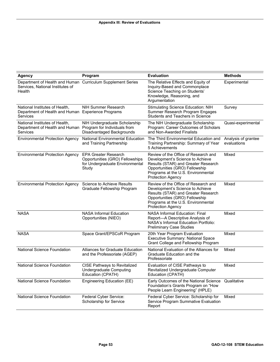| <b>Agency</b>                                                                                             | Program                                                                                                    | <b>Evaluation</b>                                                                                                                                                                                                   | <b>Methods</b>                     |
|-----------------------------------------------------------------------------------------------------------|------------------------------------------------------------------------------------------------------------|---------------------------------------------------------------------------------------------------------------------------------------------------------------------------------------------------------------------|------------------------------------|
| Department of Health and Human Curriculum Supplement Series<br>Services, National Institutes of<br>Health |                                                                                                            | The Relative Effects and Equity of<br>Inquiry-Based and Commonplace<br>Science Teaching on Students'<br>Knowledge, Reasoning, and<br>Argumentation                                                                  | Experimental                       |
| National Institutes of Health,<br>Department of Health and Human Experience Programs<br><b>Services</b>   | NIH Summer Research                                                                                        | Stimulating Science Education: NIH<br>Summer Research Program Engages<br>Students and Teachers in Science                                                                                                           | Survey                             |
| National Institutes of Health,<br>Department of Health and Human<br>Services                              | NIH Undergraduate Scholarship<br>Program for Individuals from<br>Disadvantaged Backgrounds                 | The NIH Undergraduate Scholarship<br>Program: Career Outcomes of Scholars<br>and Non-Awarded Finalists                                                                                                              | Quasi-experimental                 |
| <b>Environmental Protection Agency</b>                                                                    | <b>National Environmental Education</b><br>and Training Partnership                                        | The Third Environmental Education and<br>Training Partnership: Summary of Year<br>5 Achievements                                                                                                                    | Analysis of grantee<br>evaluations |
| <b>Environmental Protection Agency</b>                                                                    | <b>EPA Greater Research</b><br>Opportunities (GRO) Fellowships<br>for Undergraduate Environmental<br>Study | Review of the Office of Research and<br>Development's Science to Achieve<br>Results (STAR) and Greater Research<br>Opportunities (GRO) Fellowship<br>Programs at the U.S. Environmental<br><b>Protection Agency</b> | Mixed                              |
| <b>Environmental Protection Agency</b>                                                                    | Science to Achieve Results<br>Graduate Fellowship Program                                                  | Review of the Office of Research and<br>Development's Science to Achieve<br>Results (STAR) and Greater Research<br>Opportunities (GRO) Fellowship<br>Programs at the U.S. Environmental<br><b>Protection Agency</b> | Mixed                              |
| <b>NASA</b>                                                                                               | <b>NASA Informal Education</b><br>Opportunities (NIEO)                                                     | <b>NASA Informal Education: Final</b><br>Report-A Descriptive Analysis of<br>NASA's Informal Education Portfolio:<br><b>Preliminary Case Studies</b>                                                                | Mixed                              |
| <b>NASA</b>                                                                                               | Space Grant/EPSCoR Program                                                                                 | 20th Year Program Evaluation<br>Executive Summary: National Space<br>Grant College and Fellowship Program                                                                                                           | Mixed                              |
| National Science Foundation                                                                               | Alliances for Graduate Education<br>and the Professoriate (AGEP)                                           | National Evaluation of the Alliances for<br>Graduate Education and the<br>Professoriate                                                                                                                             | Mixed                              |
| National Science Foundation                                                                               | <b>CISE Pathways to Revitalized</b><br><b>Undergraduate Computing</b><br>Education (CPATH)                 | Evaluation of CISE Pathways to<br>Revitalized Undergraduate Computer<br>Education (CPATH)                                                                                                                           | Mixed                              |
| National Science Foundation                                                                               | Engineering Education (EE)                                                                                 | Early Outcomes of the National Science<br>Foundation's Grants Program on "How<br>People Learn Engineering" (HPLE)                                                                                                   | Qualitative                        |
| National Science Foundation                                                                               | Federal Cyber Service:<br>Scholarship for Service                                                          | Federal Cyber Service: Scholarship for<br>Service Program Summative Evaluation<br>Report                                                                                                                            | Mixed                              |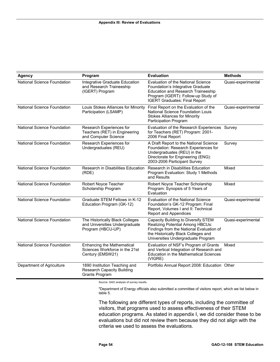| <b>Agency</b>               | Program                                                                                 | <b>Evaluation</b>                                                                                                                                                                                          | <b>Methods</b>     |
|-----------------------------|-----------------------------------------------------------------------------------------|------------------------------------------------------------------------------------------------------------------------------------------------------------------------------------------------------------|--------------------|
| National Science Foundation | Integrative Graduate Education<br>and Research Traineeship<br>(IGERT) Program           | <b>Evaluation of the National Science</b><br>Foundation's Integrative Graduate<br><b>Education and Research Traineeship</b><br>Program (IGERT): Follow-up Study of<br><b>IGERT Graduates: Final Report</b> | Quasi-experimental |
| National Science Foundation | Louis Stokes Alliances for Minority<br>Participation (LSAMP)                            | Final Report on the Evaluation of the<br>National Science Foundation Louis<br><b>Stokes Alliances for Minority</b><br>Participation Program                                                                | Quasi-experimental |
| National Science Foundation | Research Experiences for<br>Teachers (RET) in Engineering<br>and Computer Science       | Evaluation of the Research Experiences Survey<br>for Teachers (RET) Program: 2001-<br>2006 Final Report                                                                                                    |                    |
| National Science Foundation | Research Experiences for<br>Undergraduates (REU)                                        | A Draft Report to the National Science<br>Foundation: Research Experiences for<br>Undergraduates (REU) in the<br>Directorate for Engineering (ENG):<br>2003-2006 Participant Survey                        | Survey             |
| National Science Foundation | Research in Disabilities Education<br>(RDE)                                             | Research in Disabilities Education<br>Program Evaluation: Study 1 Methods<br>and Results                                                                                                                   | Mixed              |
| National Science Foundation | Robert Noyce Teacher<br>Scholarship Program                                             | Robert Noyce Teacher Scholarship<br>Program: Synopsis of 5 Years of<br>Evaluation                                                                                                                          | Mixed              |
| National Science Foundation | Graduate STEM Fellows in K-12<br>Education Program (GK-12)                              | Evaluation of the National Science<br>Foundation's GK-12 Program: Final<br>Report, Volumes I and II: Technical<br><b>Report and Appendices</b>                                                             | Quasi-experimental |
| National Science Foundation | The Historically Black Colleges<br>and Universities Undergraduate<br>Program (HBCU-UP)  | Capacity Building to Diversify STEM<br><b>Realizing Potential Among HBCUs:</b><br>Findings from the National Evaluation of<br>the Historically Black Colleges and<br>Universities Undergraduate Program    | Quasi-experimental |
| National Science Foundation | <b>Enhancing the Mathematical</b><br>Sciences Workforce in the 21st<br>Century (EMSW21) | Evaluation of NSF's Program of Grants<br>and Vertical Integration of Research and<br><b>Education in the Mathematical Sciences</b><br>(VIGRE)                                                              | Mixed              |
| Department of Agriculture   | 1890 Institution Teaching and<br><b>Research Capacity Building</b><br>Grants Program    | Portfolio Annual Report 2008: Education Other                                                                                                                                                              |                    |

Source: GAO analysis of survey results.

<sup>a</sup>Department of Energy officials also submitted a committee of visitors report, which we list below in table 5.

The following are different types of reports, including the committee of visitors, that programs used to assess effectiveness of their STEM education programs. As stated in appendix I, we did consider these to be evaluations but did not review them because they did not align with the criteria we used to assess the evaluations.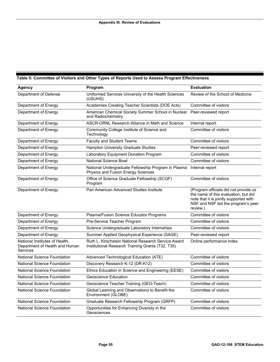#### <span id="page-59-0"></span>**Table 5: Committee of Visitors and Other Types of Reports Used to Assess Program Effectiveness**

| <b>Agency</b>                                                                | Program                                                                                                  | <b>Evaluation</b>                                                                                                                                                         |
|------------------------------------------------------------------------------|----------------------------------------------------------------------------------------------------------|---------------------------------------------------------------------------------------------------------------------------------------------------------------------------|
| Department of Defense                                                        | Uniformed Services University of the Health Sciences<br>(USUHS)                                          | Review of the School of Medicine                                                                                                                                          |
| Department of Energy                                                         | Academies Creating Teacher Scientists (DOE Acts)                                                         | Committee of visitors                                                                                                                                                     |
| Department of Energy                                                         | American Chemical Society Summer School in Nuclear<br>and Radiochemistry                                 | Peer-reviewed report                                                                                                                                                      |
| Department of Energy                                                         | ASCR-ORNL Research Alliance in Math and Science                                                          | Internal report                                                                                                                                                           |
| Department of Energy                                                         | Community College Institute of Science and<br>Technology                                                 | Committee of visitors                                                                                                                                                     |
| Department of Energy                                                         | <b>Faculty and Student Teams</b>                                                                         | Committee of visitors                                                                                                                                                     |
| Department of Energy                                                         | Hampton University Graduate Studies                                                                      | Peer-reviewed report                                                                                                                                                      |
| Department of Energy                                                         | Laboratory Equipment Donation Program                                                                    | Committee of visitors                                                                                                                                                     |
| Department of Energy                                                         | <b>National Science Bowl</b>                                                                             | Committee of visitors                                                                                                                                                     |
| Department of Energy                                                         | National Undergraduate Fellowship Program in Plasma<br>Physics and Fusion Energy Sciences                | Internal report                                                                                                                                                           |
| Department of Energy                                                         | Office of Science Graduate Fellowship (SCGF)<br>Program                                                  | Committee of visitors                                                                                                                                                     |
| Department of Energy                                                         | Pan American Advanced Studies Institute                                                                  | (Program officials did not provide us<br>the name of this evaluation, but did<br>note that it is jointly supported with<br>NSF and NSF led the program's peer<br>review.) |
| Department of Energy                                                         | Plasma/Fusion Science Educator Programs                                                                  | Committee of visitors                                                                                                                                                     |
| Department of Energy                                                         | Pre-Service Teacher Program                                                                              | Committee of visitors                                                                                                                                                     |
| Department of Energy                                                         | Science Undergraduate Laboratory Internships                                                             | Committee of visitors                                                                                                                                                     |
| Department of Energy                                                         | Summer Applied Geophysical Experience (SAGE)                                                             | Peer-reviewed report                                                                                                                                                      |
| National Institutes of Health,<br>Department of Health and Human<br>Services | Ruth L. Kirschstein National Research Service Award<br>Institutional Research Training Grants (T32, T35) | Online performance index                                                                                                                                                  |
| National Science Foundation                                                  | Advanced Technological Education (ATE)                                                                   | Committee of visitors                                                                                                                                                     |
| <b>National Science Foundation</b>                                           | Discovery Research K-12 (DR-K12)                                                                         | Committee of visitors                                                                                                                                                     |
| National Science Foundation                                                  | Ethics Education in Science and Engineering (EESE)                                                       | Committee of visitors                                                                                                                                                     |
| National Science Foundation                                                  | Geoscience Education                                                                                     | Committee of visitors                                                                                                                                                     |
| National Science Foundation                                                  | Geoscience Teacher Training (GEO-Teach)                                                                  | Committee of visitors                                                                                                                                                     |
| National Science Foundation                                                  | Global Learning and Observations to Benefit the<br>Environment (GLOBE)                                   | Committee of visitors                                                                                                                                                     |
| National Science Foundation                                                  | Graduate Research Fellowship Program (GRFP)                                                              | Committee of visitors                                                                                                                                                     |
| National Science Foundation                                                  | Opportunities for Enhancing Diversity in the<br>Geosciences                                              | Committee of visitors                                                                                                                                                     |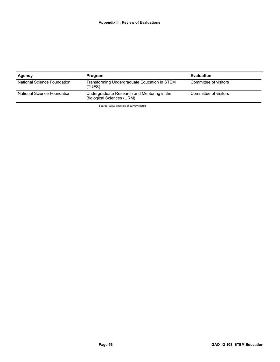| Agency                      | <b>Program</b>                                                                  | <b>Evaluation</b>     |
|-----------------------------|---------------------------------------------------------------------------------|-----------------------|
| National Science Foundation | Transforming Undergraduate Education in STEM<br>(TUES)                          | Committee of visitors |
| National Science Foundation | Undergraduate Research and Mentoring in the<br><b>Biological Sciences (URM)</b> | Committee of visitors |

Source: GAO analysis of survey results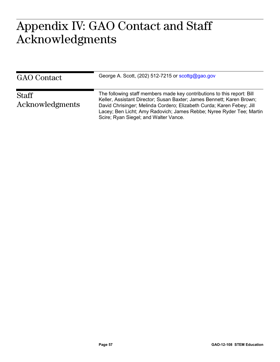### <span id="page-61-0"></span> $\Lambda \cap \Gamma$  and  $\Lambda$ Appendix IV: GAO Contact and Staff Acknowledgments

| <b>GAO</b> Contact       | George A. Scott, (202) 512-7215 or scottg@gao.gov                                                                                                                                                                                                                                                                                          |
|--------------------------|--------------------------------------------------------------------------------------------------------------------------------------------------------------------------------------------------------------------------------------------------------------------------------------------------------------------------------------------|
| Staff<br>Acknowledgments | The following staff members made key contributions to this report: Bill<br>Keller, Assistant Director; Susan Baxter; James Bennett; Karen Brown;<br>David Chrisinger; Melinda Cordero; Elizabeth Curda; Karen Febey; Jill<br>Lacey; Ben Licht; Amy Radovich; James Rebbe; Nyree Ryder Tee; Martin<br>Scire; Ryan Siegel; and Walter Vance. |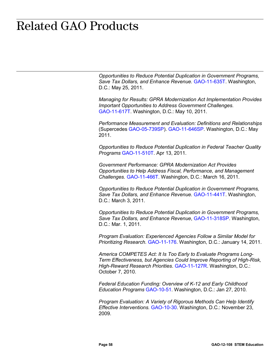## <span id="page-62-0"></span>**Related GAO Products** Related GAO Products

*Opportunities to Reduce Potential Duplication in Government Programs, Save Tax Dollars, and Enhance Revenue.* [GAO-11-635T.](http://www.gao.gov/products/GAO-11-635T) Washington, D.C.: May 25, 2011.

*Managing for Results: GPRA Modernization Act Implementation Provides Important Opportunities to Address Government Challenges.* [GAO-11-617T.](http://www.gao.gov/products/GAO-11-617T) Washington, D.C.: May 10, 2011.

*Performance Measurement and Evaluation: Definitions and Relationships*  (Supercedes [GAO-05-739SP\)](http://www.gao.gov/products/GAO-05-739SP). [GAO-11-646SP.](http://www.gao.gov/products/GAO-11-646SP) Washington, D.C.: May 2011.

*Opportunities to Reduce Potential Duplication in Federal Teacher Quality Programs* [GAO-11-510T.](http://www.gao.gov/products/GAO-11-510T) Apr 13, 2011.

*Government Performance: GPRA Modernization Act Provides Opportunities to Help Address Fiscal, Performance, and Management Challenges.* [GAO-11-466T.](http://www.gao.gov/products/GAO-11-466T) Washington, D.C.: March 16, 2011.

*Opportunities to Reduce Potential Duplication in Government Programs, Save Tax Dollars, and Enhance Revenue.* [GAO-11-441T.](http://www.gao.gov/products/GAO-11-441T) Washington, D.C.: March 3, 2011.

*Opportunities to Reduce Potential Duplication in Government Programs, Save Tax Dollars, and Enhance Revenue*, [GAO-11-318SP.](http://www.gao.gov/products/GAO-11-318SP) Washington, D.C.: Mar. 1, 2011.

*Program Evaluation: Experienced Agencies Follow a Similar Model for Prioritizing Research.* [GAO-11-176.](http://www.gao.gov/products/GAO-11-176) Washington, D.C.: January 14, 2011.

*America COMPETES Act: It Is Too Early to Evaluate Programs Long-Term Effectiveness, but Agencies Could Improve Reporting of High-Risk, High-Reward Research Priorities*. [GAO-11-127R.](http://www.gao.gov/products/GAO-11-127R) Washington, D.C.: October 7, 2010.

*Federal Education Funding: Overview of K-12 and Early Childhood Education Programs* [GAO-10-51.](http://www.gao.gov/products/GAO-10-51) Washington, D.C.: Jan 27, 2010.

*Program Evaluation: A Variety of Rigorous Methods Can Help Identify Effective Interventions.* [GAO-10-30.](http://www.gao.gov/products/GAO-10-30) Washington, D.C.: November 23, 2009.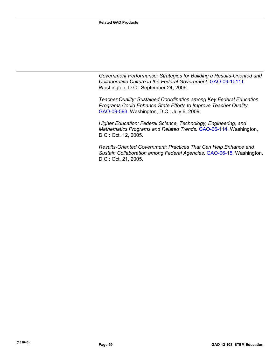*Government Performance: Strategies for Building a Results-Oriented and Collaborative Culture in the Federal Government.* [GAO-09-1011T.](http://www.gao.gov/products/GAO-09-1011T) Washington, D.C.: September 24, 2009.

*Teacher Quality: Sustained Coordination among Key Federal Education Programs Could Enhance State Efforts to Improve Teacher Quality.* [GAO-09-593.](http://www.gao.gov/products/GAO-09-593) Washington, D.C.: July 6, 2009.

*Higher Education: Federal Science, Technology, Engineering, and Mathematics Programs and Related Trends.* [GAO-06-114.](http://www.gao.gov/products/GAO-06-114) Washington, D.C.: Oct. 12, 2005.

*Results-Oriented Government: Practices That Can Help Enhance and Sustain Collaboration among Federal Agencies.* [GAO-06-15.](http://www.gao.gov/products/GAO-06-15) Washington, D.C.: Oct. 21, 2005.